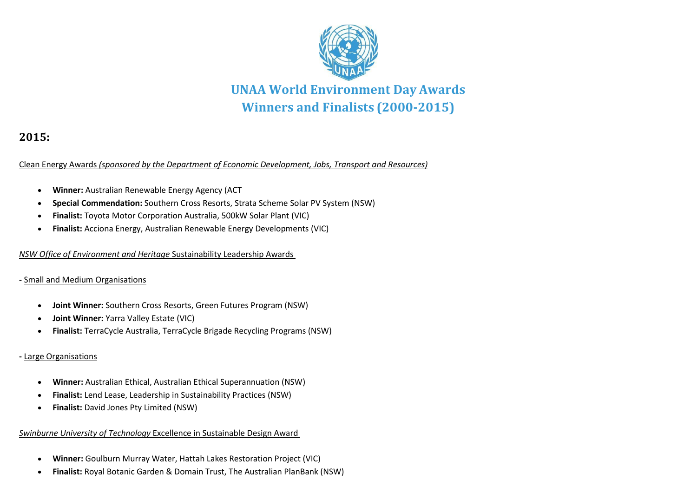

# **2015:**

Clean Energy Awards *(sponsored by the Department of Economic Development, Jobs, Transport and Resources)*

- **Winner:** Australian Renewable Energy Agency (ACT
- **Special Commendation:** Southern Cross Resorts, Strata Scheme Solar PV System (NSW)
- **Finalist:** Toyota Motor Corporation Australia, 500kW Solar Plant (VIC)
- **Finalist:** Acciona Energy, Australian Renewable Energy Developments (VIC)

*NSW Office of Environment and Heritage* Sustainability Leadership Awards

# **-** Small and Medium Organisations

- **Joint Winner:** Southern Cross Resorts, Green Futures Program (NSW)
- **Joint Winner:** Yarra Valley Estate (VIC)
- **Finalist:** TerraCycle Australia, TerraCycle Brigade Recycling Programs (NSW)

# **-** Large Organisations

- **Winner:** Australian Ethical, Australian Ethical Superannuation (NSW)
- **Finalist:** Lend Lease, Leadership in Sustainability Practices (NSW)
- **Finalist:** David Jones Pty Limited (NSW)

# *Swinburne University of Technology* Excellence in Sustainable Design Award

- **Winner:** Goulburn Murray Water, Hattah Lakes Restoration Project (VIC)
- **Finalist:** Royal Botanic Garden & Domain Trust, The Australian PlanBank (NSW)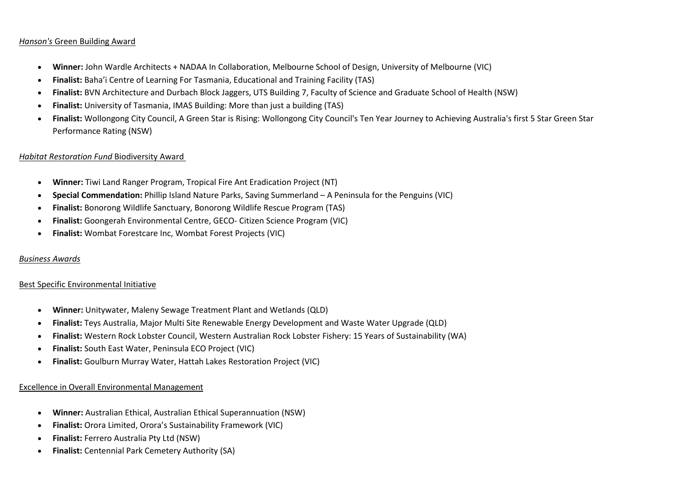# *Hanson's* Green Building Award

- **Winner:** John Wardle Architects + NADAA In Collaboration, Melbourne School of Design, University of Melbourne (VIC)
- **Finalist:** Baha'i Centre of Learning For Tasmania, Educational and Training Facility (TAS)
- **Finalist:** BVN Architecture and Durbach Block Jaggers, UTS Building 7, Faculty of Science and Graduate School of Health (NSW)
- **Finalist:** University of Tasmania, IMAS Building: More than just a building (TAS)
- **Finalist:** Wollongong City Council, A Green Star is Rising: Wollongong City Council's Ten Year Journey to Achieving Australia's first 5 Star Green Star Performance Rating (NSW)

# *Habitat Restoration Fund* Biodiversity Award

- **Winner:** Tiwi Land Ranger Program, Tropical Fire Ant Eradication Project (NT)
- **Special Commendation:** Phillip Island Nature Parks, Saving Summerland A Peninsula for the Penguins (VIC)
- **Finalist:** Bonorong Wildlife Sanctuary, Bonorong Wildlife Rescue Program (TAS)
- **Finalist:** Goongerah Environmental Centre, GECO- Citizen Science Program (VIC)
- **Finalist:** Wombat Forestcare Inc, Wombat Forest Projects (VIC)

# *Business Awards*

# Best Specific Environmental Initiative

- **Winner:** Unitywater, Maleny Sewage Treatment Plant and Wetlands (QLD)
- **Finalist:** Teys Australia, Major Multi Site Renewable Energy Development and Waste Water Upgrade (QLD)
- **Finalist:** Western Rock Lobster Council, Western Australian Rock Lobster Fishery: 15 Years of Sustainability (WA)
- **Finalist:** South East Water, Peninsula ECO Project (VIC)
- **Finalist:** Goulburn Murray Water, Hattah Lakes Restoration Project (VIC)

# Excellence in Overall Environmental Management

- **Winner:** Australian Ethical, Australian Ethical Superannuation (NSW)
- **Finalist:** Orora Limited, Orora's Sustainability Framework (VIC)
- **Finalist:** Ferrero Australia Pty Ltd (NSW)
- **Finalist:** Centennial Park Cemetery Authority (SA)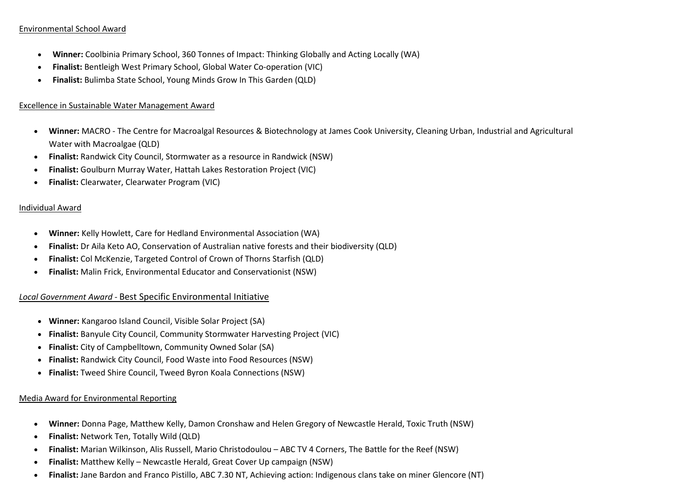# Environmental School Award

- **Winner:** Coolbinia Primary School, 360 Tonnes of Impact: Thinking Globally and Acting Locally (WA)
- **Finalist:** Bentleigh West Primary School, Global Water Co-operation (VIC)
- **Finalist:** Bulimba State School, Young Minds Grow In This Garden (QLD)

# Excellence in Sustainable Water Management Award

- **Winner:** MACRO The Centre for Macroalgal Resources & Biotechnology at James Cook University, Cleaning Urban, Industrial and Agricultural Water with Macroalgae (QLD)
- **Finalist:** Randwick City Council, Stormwater as a resource in Randwick (NSW)
- **Finalist:** Goulburn Murray Water, Hattah Lakes Restoration Project (VIC)
- **Finalist:** Clearwater, Clearwater Program (VIC)

# Individual Award

- **Winner:** Kelly Howlett, Care for Hedland Environmental Association (WA)
- **Finalist:** Dr Aila Keto AO, Conservation of Australian native forests and their biodiversity (QLD)
- **Finalist:** Col McKenzie, Targeted Control of Crown of Thorns Starfish (QLD)
- **Finalist:** Malin Frick, Environmental Educator and Conservationist (NSW)

# *Local Government Award -* Best Specific Environmental Initiative

- **Winner:** Kangaroo Island Council, Visible Solar Project (SA)
- **Finalist:** Banyule City Council, Community Stormwater Harvesting Project (VIC)
- **Finalist:** City of Campbelltown, Community Owned Solar (SA)
- **Finalist:** Randwick City Council, Food Waste into Food Resources (NSW)
- **Finalist:** Tweed Shire Council, Tweed Byron Koala Connections (NSW)

# Media Award for Environmental Reporting

- **Winner:** Donna Page, Matthew Kelly, Damon Cronshaw and Helen Gregory of Newcastle Herald, Toxic Truth (NSW)
- **Finalist:** Network Ten, Totally Wild (QLD)
- **Finalist:** Marian Wilkinson, Alis Russell, Mario Christodoulou ABC TV 4 Corners, The Battle for the Reef (NSW)
- **Finalist:** Matthew Kelly Newcastle Herald, Great Cover Up campaign (NSW)
- **Finalist:** Jane Bardon and Franco Pistillo, ABC 7.30 NT, Achieving action: Indigenous clans take on miner Glencore (NT)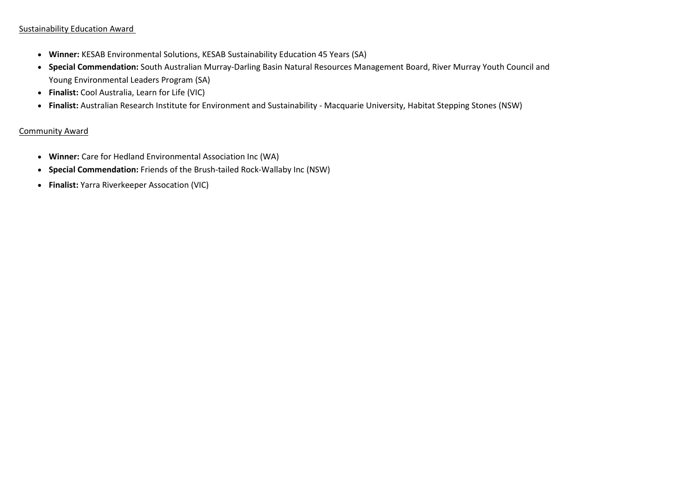# Sustainability Education Award

- **Winner:** KESAB Environmental Solutions, KESAB Sustainability Education 45 Years (SA)
- **Special Commendation:** South Australian Murray-Darling Basin Natural Resources Management Board, River Murray Youth Council and Young Environmental Leaders Program (SA)
- **Finalist:** Cool Australia, Learn for Life (VIC)
- **Finalist:** Australian Research Institute for Environment and Sustainability Macquarie University, Habitat Stepping Stones (NSW)

# Community Award

- **Winner:** Care for Hedland Environmental Association Inc (WA)
- **Special Commendation:** Friends of the Brush-tailed Rock-Wallaby Inc (NSW)
- **Finalist:** Yarra Riverkeeper Assocation (VIC)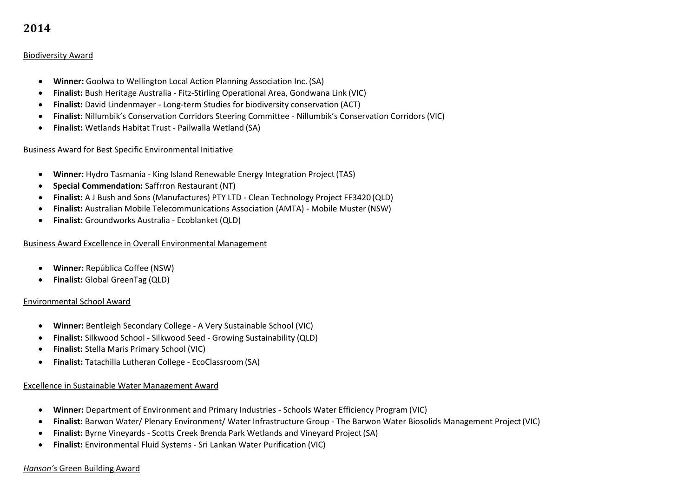# Biodiversity Award

- **Winner:** Goolwa to Wellington Local Action Planning Association Inc. (SA)
- **Finalist:** Bush Heritage Australia Fitz-Stirling Operational Area, Gondwana Link (VIC)
- **Finalist:** David Lindenmayer Long-term Studies for biodiversity conservation (ACT)
- **Finalist:** Nillumbik's Conservation Corridors Steering Committee Nillumbik's Conservation Corridors (VIC)
- **Finalist:** Wetlands Habitat Trust Pailwalla Wetland (SA)

# Business Award for Best Specific Environmental Initiative

- **Winner:** Hydro Tasmania King Island Renewable Energy Integration Project(TAS)
- **Special Commendation:** Saffrron Restaurant (NT)
- **Finalist:** A J Bush and Sons (Manufactures) PTY LTD Clean Technology Project FF3420 (QLD)
- **Finalist:** Australian Mobile Telecommunications Association (AMTA) Mobile Muster(NSW)
- **Finalist:** Groundworks Australia Ecoblanket (QLD)

# Business Award Excellence in Overall Environmental Management

- **Winner:** República Coffee (NSW)
- **Finalist:** Global GreenTag (QLD)

# Environmental School Award

- **Winner:** Bentleigh Secondary College A Very Sustainable School (VIC)
- **Finalist:** Silkwood School Silkwood Seed Growing Sustainability (QLD)
- **Finalist:** Stella Maris Primary School (VIC)
- **Finalist:** Tatachilla Lutheran College EcoClassroom(SA)

# Excellence in Sustainable Water Management Award

- **Winner:** Department of Environment and Primary Industries Schools Water Efficiency Program (VIC)
- **Finalist:** Barwon Water/ Plenary Environment/ Water Infrastructure Group The Barwon Water Biosolids Management Project(VIC)
- **Finalist:** Byrne Vineyards Scotts Creek Brenda Park Wetlands and Vineyard Project(SA)
- **Finalist:** Environmental Fluid Systems Sri Lankan Water Purification (VIC)

# *Hanson's* Green Building Award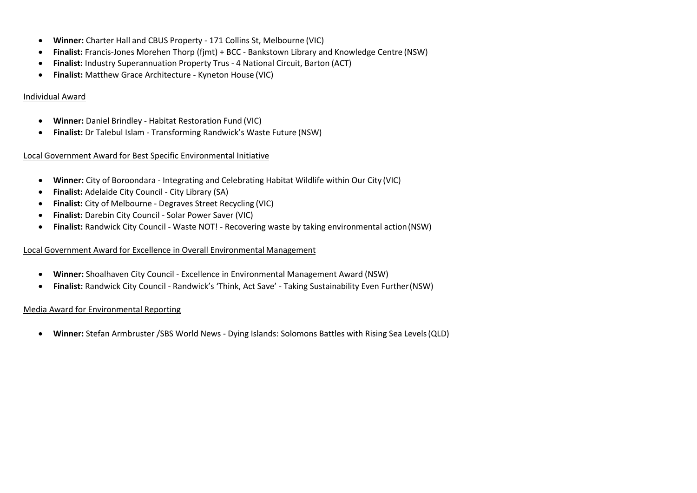- **Winner:** Charter Hall and CBUS Property 171 Collins St, Melbourne (VIC)
- **Finalist:** Francis-Jones Morehen Thorp (fjmt) + BCC Bankstown Library and Knowledge Centre (NSW)
- **Finalist:** Industry Superannuation Property Trus 4 National Circuit, Barton (ACT)
- **Finalist:** Matthew Grace Architecture Kyneton House (VIC)

# Individual Award

- **Winner:** Daniel Brindley Habitat Restoration Fund (VIC)
- **Finalist:** Dr Talebul Islam Transforming Randwick's Waste Future (NSW)

# Local Government Award for Best Specific Environmental Initiative

- **Winner:** City of Boroondara Integrating and Celebrating Habitat Wildlife within Our City (VIC)
- **Finalist:** Adelaide City Council City Library (SA)
- **Finalist:** City of Melbourne Degraves Street Recycling (VIC)
- **Finalist:** Darebin City Council Solar Power Saver (VIC)
- **Finalist:** Randwick City Council Waste NOT! Recovering waste by taking environmental action(NSW)

# Local Government Award for Excellence in Overall Environmental Management

- **Winner:** Shoalhaven City Council Excellence in Environmental Management Award (NSW)
- **Finalist:** Randwick City Council Randwick's 'Think, Act Save' Taking Sustainability Even Further(NSW)

# Media Award for Environmental Reporting

**Winner:** Stefan Armbruster /SBS World News - Dying Islands: Solomons Battles with Rising Sea Levels(QLD)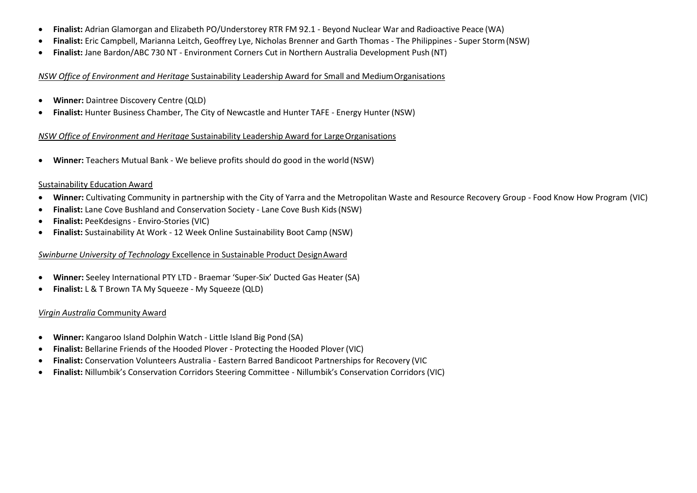- **Finalist:** Adrian Glamorgan and Elizabeth PO/Understorey RTR FM 92.1 Beyond Nuclear War and Radioactive Peace (WA)
- **Finalist:** Eric Campbell, Marianna Leitch, Geoffrey Lye, Nicholas Brenner and Garth Thomas The Philippines Super Storm(NSW)
- **Finalist:** Jane Bardon/ABC 730 NT Environment Corners Cut in Northern Australia Development Push (NT)

#### *NSW Office of Environment and Heritage* Sustainability Leadership Award for Small and MediumOrganisations

- **Winner:** Daintree Discovery Centre (QLD)
- **Finalist:** Hunter Business Chamber, The City of Newcastle and Hunter TAFE Energy Hunter (NSW)

# *NSW Office of Environment and Heritage Sustainability Leadership Award for Large Organisations*

**Winner:** Teachers Mutual Bank - We believe profits should do good in the world (NSW)

# Sustainability Education Award

- **Winner:** Cultivating Community in partnership with the City of Yarra and the Metropolitan Waste and Resource Recovery Group Food Know How Program (VIC)
- **Finalist:** Lane Cove Bushland and Conservation Society Lane Cove Bush Kids(NSW)
- **Finalist:** PeeKdesigns Enviro-Stories (VIC)
- **Finalist:** Sustainability At Work 12 Week Online Sustainability Boot Camp (NSW)

# *Swinburne University of Technology* Excellence in Sustainable Product DesignAward

- **Winner:** Seeley International PTY LTD Braemar 'Super-Six' Ducted Gas Heater (SA)
- **Finalist:** L & T Brown TA My Squeeze My Squeeze (QLD)

# *Virgin Australia* Community Award

- **Winner:** Kangaroo Island Dolphin Watch Little Island Big Pond (SA)
- **Finalist:** Bellarine Friends of the Hooded Plover Protecting the Hooded Plover (VIC)
- **Finalist:** Conservation Volunteers Australia Eastern Barred Bandicoot Partnerships for Recovery (VIC
- **Finalist:** Nillumbik's Conservation Corridors Steering Committee Nillumbik's Conservation Corridors (VIC)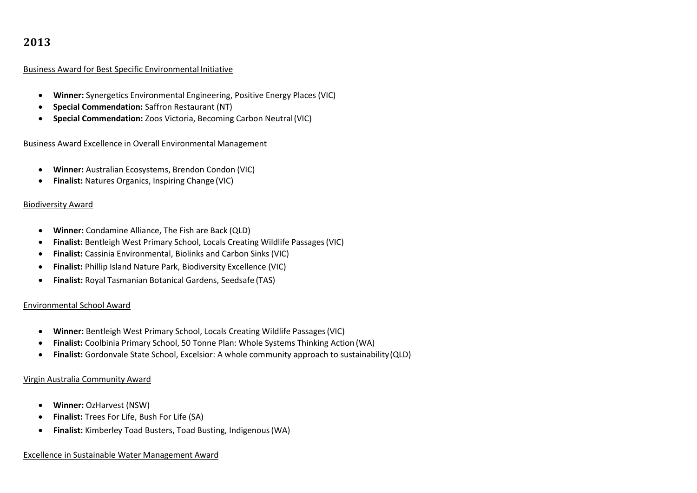# Business Award for Best Specific Environmental Initiative

- **Winner:** Synergetics Environmental Engineering, Positive Energy Places (VIC)
- **Special Commendation:** Saffron Restaurant (NT)
- **Special Commendation:** Zoos Victoria, Becoming Carbon Neutral(VIC)

# Business Award Excellence in Overall Environmental Management

- **Winner:** Australian Ecosystems, Brendon Condon (VIC)
- **Finalist:** Natures Organics, Inspiring Change (VIC)

# Biodiversity Award

- **Winner:** Condamine Alliance, The Fish are Back (QLD)
- **Finalist:** Bentleigh West Primary School, Locals Creating Wildlife Passages(VIC)
- **Finalist:** Cassinia Environmental, Biolinks and Carbon Sinks (VIC)
- **Finalist:** Phillip Island Nature Park, Biodiversity Excellence (VIC)
- **Finalist:** Royal Tasmanian Botanical Gardens, Seedsafe (TAS)

# Environmental School Award

- **Winner:** Bentleigh West Primary School, Locals Creating Wildlife Passages(VIC)
- **Finalist:** Coolbinia Primary School, 50 Tonne Plan: Whole Systems Thinking Action (WA)
- **Finalist:** Gordonvale State School, Excelsior: A whole community approach to sustainability(QLD)

# Virgin Australia Community Award

- **Winner:** OzHarvest (NSW)
- **Finalist:** Trees For Life, Bush For Life (SA)
- **Finalist:** Kimberley Toad Busters, Toad Busting, Indigenous(WA)

# Excellence in Sustainable Water Management Award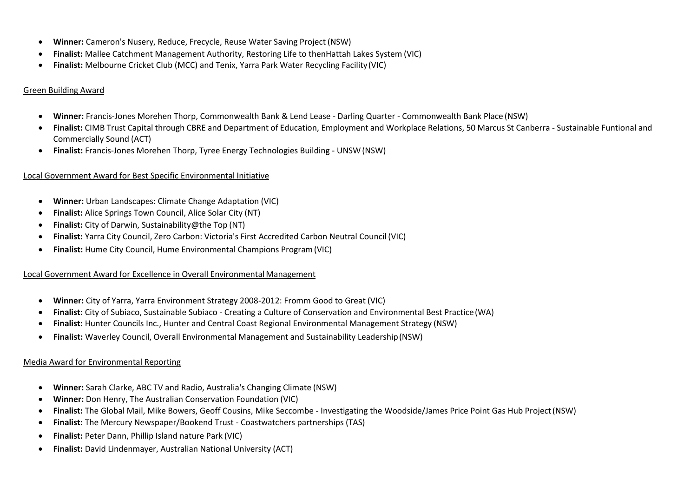- **Winner:** Cameron's Nusery, Reduce, Frecycle, Reuse Water Saving Project (NSW)
- **Finalist:** Mallee Catchment Management Authority, Restoring Life to thenHattah Lakes System (VIC)
- **Finalist:** Melbourne Cricket Club (MCC) and Tenix, Yarra Park Water Recycling Facility(VIC)

# Green Building Award

- **Winner:** Francis-Jones Morehen Thorp, Commonwealth Bank & Lend Lease Darling Quarter Commonwealth Bank Place (NSW)
- **Finalist:** CIMB Trust Capital through CBRE and Department of Education, Employment and Workplace Relations, 50 Marcus St Canberra Sustainable Funtional and Commercially Sound (ACT)
- **Finalist:** Francis-Jones Morehen Thorp, Tyree Energy Technologies Building UNSW(NSW)

# Local Government Award for Best Specific Environmental Initiative

- **Winner:** Urban Landscapes: Climate Change Adaptation (VIC)
- **Finalist:** Alice Springs Town Council, Alice Solar City (NT)
- **Finalist:** City of Darwin, Sustainability@the Top (NT)
- **Finalist:** Yarra City Council, Zero Carbon: Victoria's First Accredited Carbon Neutral Council (VIC)
- **Finalist:** Hume City Council, Hume Environmental Champions Program(VIC)

# Local Government Award for Excellence in Overall Environmental Management

- **Winner:** City of Yarra, Yarra Environment Strategy 2008-2012: Fromm Good to Great (VIC)
- **Finalist:** City of Subiaco, Sustainable Subiaco Creating a Culture of Conservation and Environmental Best Practice(WA)
- **Finalist:** Hunter Councils Inc., Hunter and Central Coast Regional Environmental Management Strategy (NSW)
- **Finalist:** Waverley Council, Overall Environmental Management and Sustainability Leadership(NSW)

# Media Award for Environmental Reporting

- **Winner:** Sarah Clarke, ABC TV and Radio, Australia's Changing Climate (NSW)
- **Winner:** Don Henry, The Australian Conservation Foundation (VIC)
- **Finalist:** The Global Mail, Mike Bowers, Geoff Cousins, Mike Seccombe Investigating the Woodside/James Price Point Gas Hub Project(NSW)
- **Finalist:** The Mercury Newspaper/Bookend Trust Coastwatchers partnerships (TAS)
- **Finalist:** Peter Dann, Phillip Island nature Park (VIC)
- **Finalist:** David Lindenmayer, Australian National University (ACT)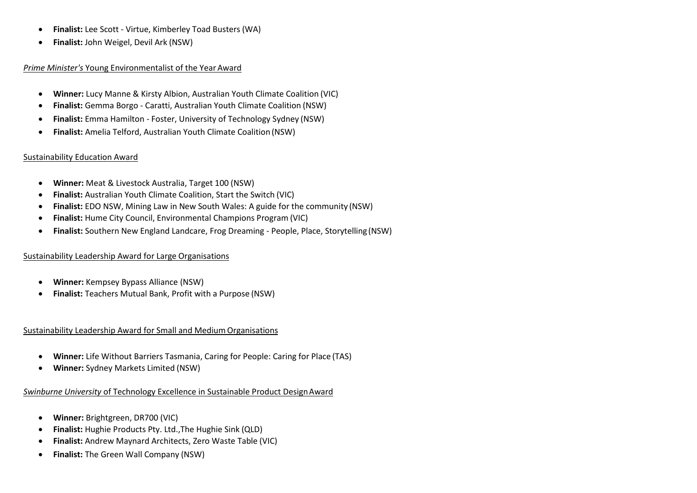- **Finalist:** Lee Scott Virtue, Kimberley Toad Busters (WA)
- **Finalist:** John Weigel, Devil Ark (NSW)

## *Prime Minister's* Young Environmentalist of the Year Award

- **Winner:** Lucy Manne & Kirsty Albion, Australian Youth Climate Coalition (VIC)
- **Finalist:** Gemma Borgo Caratti, Australian Youth Climate Coalition (NSW)
- **Finalist:** Emma Hamilton Foster, University of Technology Sydney (NSW)
- **Finalist:** Amelia Telford, Australian Youth Climate Coalition (NSW)

# Sustainability Education Award

- **Winner:** Meat & Livestock Australia, Target 100 (NSW)
- **Finalist:** Australian Youth Climate Coalition, Start the Switch (VIC)
- **Finalist:** EDO NSW, Mining Law in New South Wales: A guide for the community (NSW)
- **Finalist:** Hume City Council, Environmental Champions Program (VIC)
- **Finalist:** Southern New England Landcare, Frog Dreaming People, Place, Storytelling (NSW)

# Sustainability Leadership Award for Large Organisations

- **Winner:** Kempsey Bypass Alliance (NSW)
- **Finalist:** Teachers Mutual Bank, Profit with a Purpose (NSW)

# Sustainability Leadership Award for Small and Medium Organisations

- **Winner:** Life Without Barriers Tasmania, Caring for People: Caring for Place (TAS)
- **Winner:** Sydney Markets Limited (NSW)

# *Swinburne University* of Technology Excellence in Sustainable Product DesignAward

- **Winner:** Brightgreen, DR700 (VIC)
- **Finalist:** Hughie Products Pty. Ltd.,The Hughie Sink (QLD)
- **Finalist:** Andrew Maynard Architects, Zero Waste Table (VIC)
- **Finalist:** The Green Wall Company (NSW)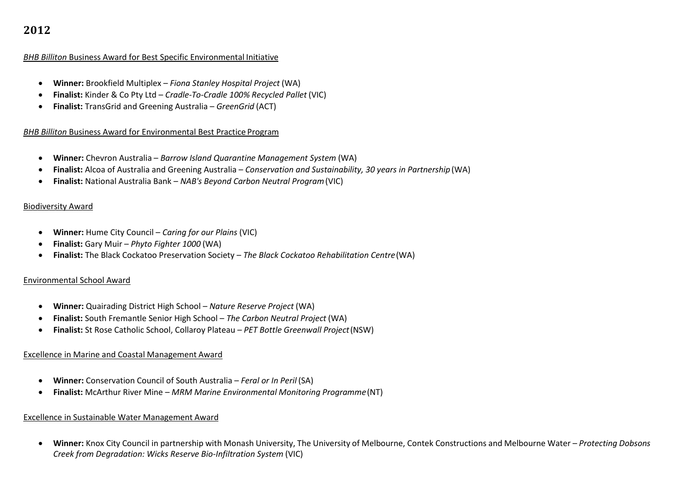# *BHB Billiton* Business Award for Best Specific Environmental Initiative

- **Winner:** Brookfield Multiplex *Fiona Stanley Hospital Project* (WA)
- **Finalist:** Kinder & Co Pty Ltd *Cradle-To-Cradle 100% Recycled Pallet* (VIC)
- **Finalist:** TransGrid and Greening Australia *GreenGrid* (ACT)

# *BHB Billiton* Business Award for Environmental Best Practice Program

- **Winner:** Chevron Australia *Barrow Island Quarantine Management System* (WA)
- **Finalist:** Alcoa of Australia and Greening Australia *Conservation and Sustainability, 30 years in Partnership* (WA)
- **Finalist:** National Australia Bank *NAB's Beyond Carbon Neutral Program*(VIC)

# Biodiversity Award

- **Winner:** Hume City Council *Caring for our Plains* (VIC)
- **Finalist:** Gary Muir *Phyto Fighter 1000* (WA)
- **Finalist:** The Black Cockatoo Preservation Society *The Black Cockatoo Rehabilitation Centre*(WA)

# Environmental School Award

- **Winner:** Quairading District High School *Nature Reserve Project* (WA)
- **Finalist:** South Fremantle Senior High School *The Carbon Neutral Project* (WA)
- **Finalist:** St Rose Catholic School, Collaroy Plateau *PET Bottle Greenwall Project*(NSW)

# Excellence in Marine and Coastal Management Award

- **Winner:** Conservation Council of South Australia *Feral or In Peril* (SA)
- **Finalist:** McArthur River Mine *MRM Marine Environmental Monitoring Programme*(NT)

# Excellence in Sustainable Water Management Award

 **Winner:** Knox City Council in partnership with Monash University, The University of Melbourne, Contek Constructions and Melbourne Water – *Protecting Dobsons Creek from Degradation: Wicks Reserve Bio-Infiltration System* (VIC)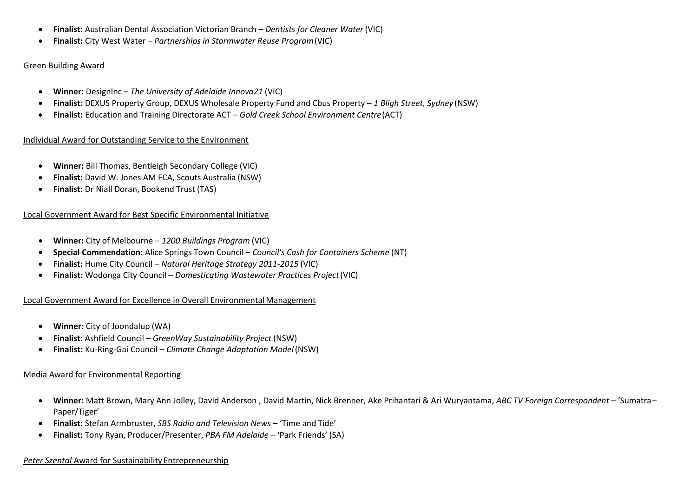- **Finalist:** Australian Dental Association Victorian Branch *Dentists for Cleaner Water* (VIC)
- **Finalist:** City West Water *Partnerships in Stormwater Reuse Program*(VIC)

# Green Building Award

- **Winner:** DesignInc *The University of Adelaide Innova21* (VIC)
- **Finalist:** DEXUS Property Group, DEXUS Wholesale Property Fund and Cbus Property *1 Bligh Street, Sydney* (NSW)
- **Finalist:** Education and Training Directorate ACT *Gold Creek School Environment Centre*(ACT)

# Individual Award for Outstanding Service to the Environment

- **Winner:** Bill Thomas, Bentleigh Secondary College (VIC)
- **Finalist:** David W. Jones AM FCA, Scouts Australia (NSW)
- **Finalist:** Dr Niall Doran, Bookend Trust (TAS)

# Local Government Award for Best Specific Environmental Initiative

- **Winner:** City of Melbourne *1200 Buildings Program* (VIC)
- **Special Commendation:** Alice Springs Town Council *Council's Cash for Containers Scheme* (NT)
- **Finalist:** Hume City Council *Natural Heritage Strategy 2011-2015* (VIC)
- **Finalist:** Wodonga City Council *Domesticating Wastewater Practices Project*(VIC)

# Local Government Award for Excellence in Overall EnvironmentalManagement

- **Winner:** City of Joondalup (WA)
- **Finalist:** Ashfield Council *GreenWay Sustainability Project* (NSW)
- **Finalist:** Ku-Ring-Gai Council *Climate Change Adaptation Model*(NSW)

# Media Award for Environmental Reporting

- **Winner:** Matt Brown, Mary Ann Jolley, David Anderson , David Martin, Nick Brenner, Ake Prihantari & Ari Wuryantama, *ABC TV Foreign Correspondent*  'Sumatra– Paper/Tiger'
- **Finalist:** Stefan Armbruster, *SBS Radio and Television News*  'Time and Tide'
- **Finalist:** Tony Ryan, Producer/Presenter, *PBA FM Adelaide*  'Park Friends' (SA)

# *Peter Szental* Award for Sustainability Entrepreneurship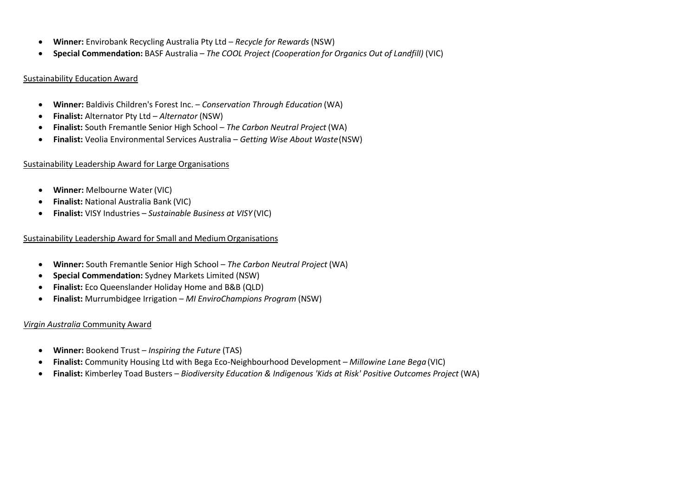- **Winner:** Envirobank Recycling Australia Pty Ltd *Recycle for Rewards* (NSW)
- **Special Commendation:** BASF Australia *The COOL Project (Cooperation for Organics Out of Landfill)* (VIC)

# Sustainability Education Award

- **Winner:** Baldivis Children's Forest Inc. *Conservation Through Education* (WA)
- **Finalist:** Alternator Pty Ltd *Alternator* (NSW)
- **Finalist:** South Fremantle Senior High School *The Carbon Neutral Project* (WA)
- **Finalist:** Veolia Environmental Services Australia *Getting Wise About Waste*(NSW)

# Sustainability Leadership Award for Large Organisations

- **Winner:** Melbourne Water(VIC)
- **Finalist:** National Australia Bank (VIC)
- **Finalist:** VISY Industries *Sustainable Business at VISY* (VIC)

# Sustainability Leadership Award for Small and Medium Organisations

- **Winner:** South Fremantle Senior High School *The Carbon Neutral Project* (WA)
- **Special Commendation:** Sydney Markets Limited (NSW)
- **Finalist:** Eco Queenslander Holiday Home and B&B (QLD)
- **Finalist:** Murrumbidgee Irrigation *MI EnviroChampions Program* (NSW)

#### *Virgin Australia* Community Award

- **Winner:** Bookend Trust *Inspiring the Future* (TAS)
- **Finalist:** Community Housing Ltd with Bega Eco-Neighbourhood Development *Millowine Lane Bega* (VIC)
- **Finalist:** Kimberley Toad Busters *Biodiversity Education & Indigenous 'Kids at Risk' Positive Outcomes Project* (WA)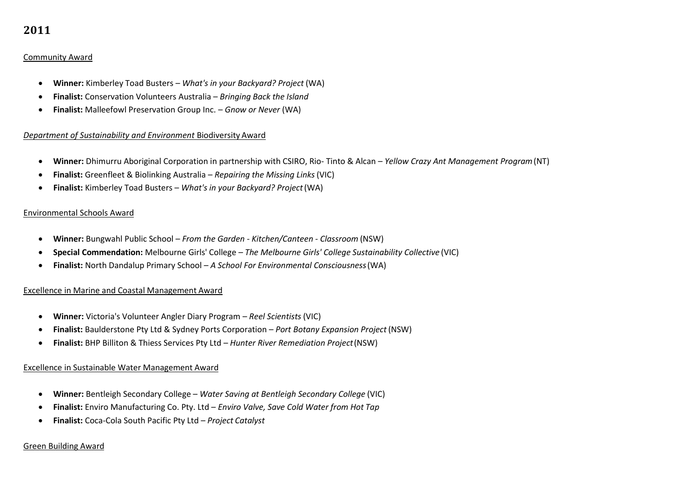# Community Award

- **Winner:** Kimberley Toad Busters *What's in your Backyard? Project* (WA)
- **Finalist:** Conservation Volunteers Australia *Bringing Back the Island*
- **Finalist:** Malleefowl Preservation Group Inc. *Gnow or Never* (WA)

# *Department of Sustainability and Environment* Biodiversity Award

- **Winner:** Dhimurru Aboriginal Corporation in partnership with CSIRO, Rio- Tinto & Alcan *Yellow Crazy Ant Management Program*(NT)
- **Finalist:** Greenfleet & Biolinking Australia *Repairing the Missing Links* (VIC)
- **Finalist:** Kimberley Toad Busters *What's in your Backyard? Project*(WA)

# Environmental Schools Award

- **Winner:** Bungwahl Public School *From the Garden - Kitchen/Canteen - Classroom* (NSW)
- **Special Commendation:** Melbourne Girls' College *– The Melbourne Girls' College Sustainability Collective* (VIC)
- **Finalist:** North Dandalup Primary School *A School For Environmental Consciousness*(WA)

# Excellence in Marine and Coastal Management Award

- **Winner:** Victoria's Volunteer Angler Diary Program *Reel Scientists* (VIC)
- **Finalist:** Baulderstone Pty Ltd & Sydney Ports Corporation *Port Botany Expansion Project* (NSW)
- **Finalist:** BHP Billiton & Thiess Services Pty Ltd *Hunter River Remediation Project*(NSW)

# Excellence in Sustainable Water Management Award

- **Winner:** Bentleigh Secondary College *Water Saving at Bentleigh Secondary College* (VIC)
- **Finalist:** Enviro Manufacturing Co. Pty. Ltd *Enviro Valve, Save Cold Water from Hot Tap*
- **Finalist:** Coca-Cola South Pacific Pty Ltd *Project Catalyst*

# Green Building Award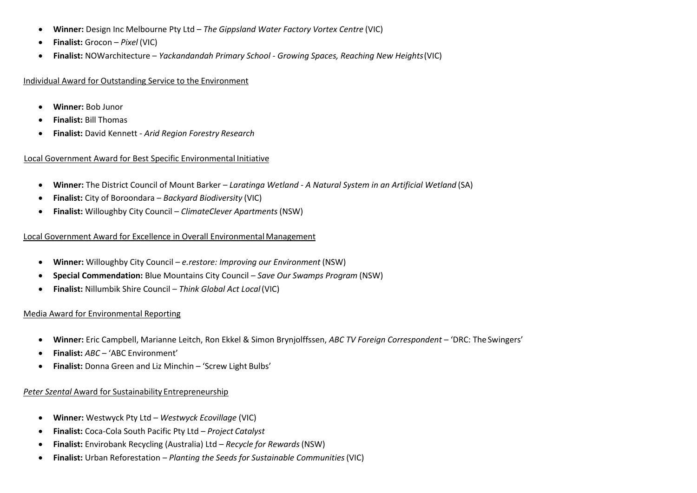- **Winner:** Design Inc Melbourne Pty Ltd *The Gippsland Water Factory Vortex Centre* (VIC)
- **Finalist:** Grocon *Pixel* (VIC)
- **Finalist:** NOWarchitecture *Yackandandah Primary School - Growing Spaces, Reaching New Heights*(VIC)

## Individual Award for Outstanding Service to the Environment

- **Winner:** Bob Junor
- **Finalist:** Bill Thomas
- **Finalist:** David Kennett *Arid Region Forestry Research*

# Local Government Award for Best Specific Environmental Initiative

- **Winner:** The District Council of Mount Barker *Laratinga Wetland - A Natural System in an Artificial Wetland* (SA)
- **Finalist:** City of Boroondara *Backyard Biodiversity* (VIC)
- **Finalist:** Willoughby City Council *ClimateClever Apartments*(NSW)

# Local Government Award for Excellence in Overall EnvironmentalManagement

- **Winner:** Willoughby City Council *e.restore: Improving our Environment* (NSW)
- **Special Commendation:** Blue Mountains City Council *Save Our Swamps Program* (NSW)
- **Finalist:** Nillumbik Shire Council *Think Global Act Local*(VIC)

# Media Award for Environmental Reporting

- **Winner:** Eric Campbell, Marianne Leitch, Ron Ekkel & Simon Brynjolffssen, *ABC TV Foreign Correspondent*  'DRC: TheSwingers'
- **Finalist:** *ABC*  'ABC Environment'
- **Finalist:** Donna Green and Liz Minchin 'Screw Light Bulbs'

# *Peter Szental* Award for Sustainability Entrepreneurship

- **Winner:** Westwyck Pty Ltd *Westwyck Ecovillage* (VIC)
- **Finalist:** Coca-Cola South Pacific Pty Ltd *Project Catalyst*
- **Finalist:** Envirobank Recycling (Australia) Ltd *Recycle for Rewards*(NSW)
- **Finalist:** Urban Reforestation *Planting the Seeds for Sustainable Communities*(VIC)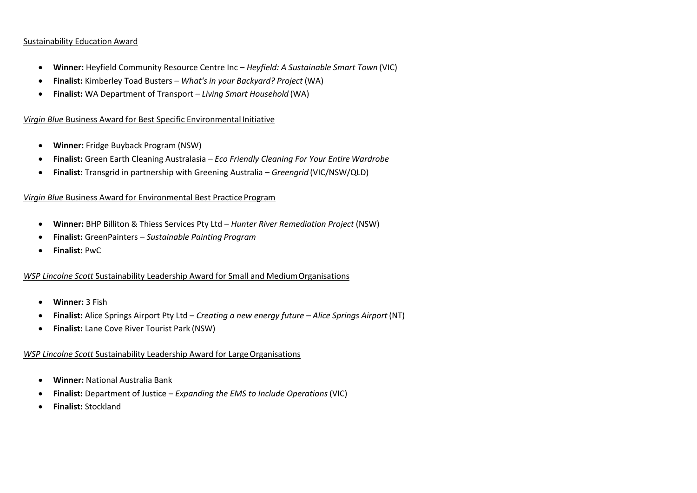# Sustainability Education Award

- **Winner:** Heyfield Community Resource Centre Inc *Heyfield: A Sustainable Smart Town* (VIC)
- **Finalist:** Kimberley Toad Busters *What's in your Backyard? Project* (WA)
- **Finalist:** WA Department of Transport *Living Smart Household* (WA)

# *Virgin Blue* Business Award for Best Specific Environmental Initiative

- **Winner:** Fridge Buyback Program (NSW)
- **Finalist:** Green Earth Cleaning Australasia *Eco Friendly Cleaning For Your Entire Wardrobe*
- **Finalist:** Transgrid in partnership with Greening Australia *Greengrid* (VIC/NSW/QLD)

# *Virgin Blue* Business Award for Environmental Best Practice Program

- **Winner:** BHP Billiton & Thiess Services Pty Ltd *Hunter River Remediation Project* (NSW)
- **Finalist:** GreenPainters *Sustainable Painting Program*
- **Finalist:** PwC

# *WSP Lincolne Scott* Sustainability Leadership Award for Small and MediumOrganisations

- **Winner:** 3 Fish
- **Finalist:** Alice Springs Airport Pty Ltd *Creating a new energy future – Alice Springs Airport* (NT)
- **Finalist:** Lane Cove River Tourist Park (NSW)

# *WSP Lincolne Scott Sustainability Leadership Award for Large Organisations*

- **Winner:** National Australia Bank
- **Finalist:** Department of Justice *Expanding the EMS to Include Operations* (VIC)
- **Finalist:** Stockland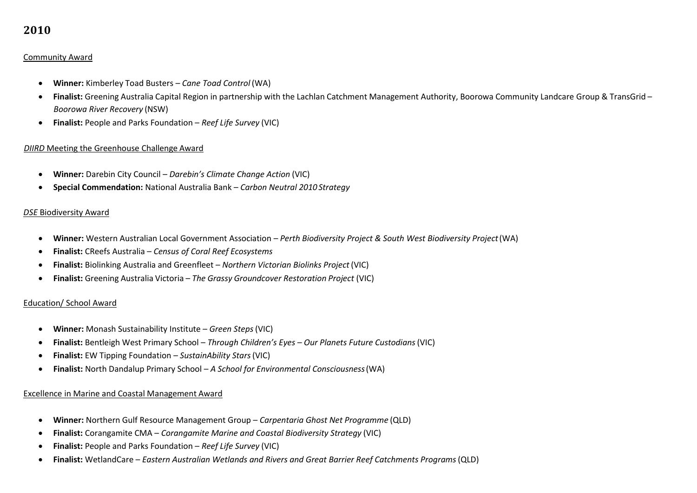# Community Award

- **Winner:** Kimberley Toad Busters *Cane Toad Control* (WA)
- **Finalist:** Greening Australia Capital Region in partnership with the Lachlan Catchment Management Authority, Boorowa Community Landcare Group & TransGrid *Boorowa River Recovery* (NSW)
- **Finalist:** People and Parks Foundation *Reef Life Survey* (VIC)

# *DIIRD* Meeting the Greenhouse Challenge Award

- **Winner:** Darebin City Council *Darebin's Climate Change Action* (VIC)
- **Special Commendation:** National Australia Bank *Carbon Neutral 2010 Strategy*

# *DSE* Biodiversity Award

- **Winner:** Western Australian Local Government Association *Perth Biodiversity Project & South West Biodiversity Project*(WA)
- **Finalist:** CReefs Australia *Census of Coral Reef Ecosystems*
- **Finalist:** Biolinking Australia and Greenfleet *Northern Victorian Biolinks Project* (VIC)
- **Finalist:** Greening Australia Victoria *The Grassy Groundcover Restoration Project* (VIC)

# Education/ School Award

- **Winner:** Monash Sustainability Institute *Green Steps*(VIC)
- **Finalist:** Bentleigh West Primary School *Through Children's Eyes – Our Planets Future Custodians*(VIC)
- **Finalist:** EW Tipping Foundation *SustainAbility Stars*(VIC)
- **Finalist:** North Dandalup Primary School *A School for Environmental Consciousness*(WA)

# Excellence in Marine and Coastal Management Award

- **Winner:** Northern Gulf Resource Management Group *Carpentaria Ghost Net Programme* (QLD)
- **Finalist:** Corangamite CMA *Corangamite Marine and Coastal Biodiversity Strategy* (VIC)
- **Finalist:** People and Parks Foundation *Reef Life Survey* (VIC)
- **Finalist:** WetlandCare *Eastern Australian Wetlands and Rivers and Great Barrier Reef Catchments Programs*(QLD)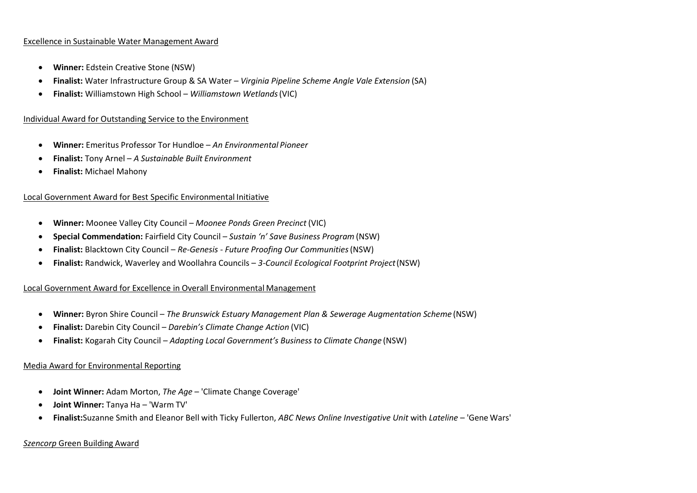#### Excellence in Sustainable Water Management Award

- **Winner:** Edstein Creative Stone (NSW)
- **Finalist:** Water Infrastructure Group & SA Water *Virginia Pipeline Scheme Angle Vale Extension* (SA)
- **Finalist:** Williamstown High School *Williamstown Wetlands*(VIC)

#### Individual Award for Outstanding Service to the Environment

- **Winner:** Emeritus Professor Tor Hundloe *An Environmental Pioneer*
- **Finalist:** Tony Arnel *A Sustainable Built Environment*
- **Finalist:** Michael Mahony

#### Local Government Award for Best Specific Environmental Initiative

- **Winner:** Moonee Valley City Council *Moonee Ponds Green Precinct* (VIC)
- **Special Commendation:** Fairfield City Council *Sustain 'n' Save Business Program* (NSW)
- **Finalist:** Blacktown City Council *Re-Genesis - Future Proofing Our Communities*(NSW)
- **Finalist:** Randwick, Waverley and Woollahra Councils *3-Council Ecological Footprint Project*(NSW)

#### Local Government Award for Excellence in Overall Environmental Management

- **Winner:** Byron Shire Council *The Brunswick Estuary Management Plan & Sewerage Augmentation Scheme* (NSW)
- **Finalist:** Darebin City Council *Darebin's Climate Change Action* (VIC)
- **Finalist:** Kogarah City Council *Adapting Local Government's Business to Climate Change* (NSW)

#### Media Award for Environmental Reporting

- **Joint Winner:** Adam Morton, *The Age*  'Climate Change Coverage'
- **Joint Winner:** Tanya Ha 'Warm TV'
- **Finalist:**Suzanne Smith and Eleanor Bell with Ticky Fullerton, *ABC News Online Investigative Unit* with *Lateline*  'Gene Wars'

#### *Szencorp* Green Building Award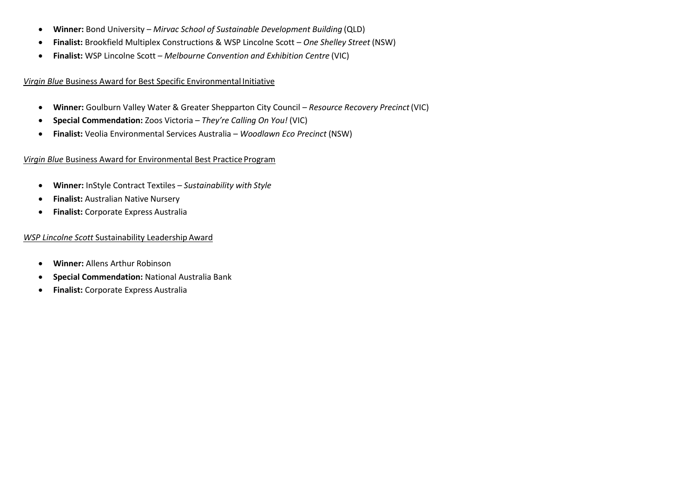- **Winner:** Bond University *Mirvac School of Sustainable Development Building* (QLD)
- **Finalist:** Brookfield Multiplex Constructions & WSP Lincolne Scott *One Shelley Street* (NSW)
- **Finalist:** WSP Lincolne Scott *Melbourne Convention and Exhibition Centre* (VIC)

*Virgin Blue* Business Award for Best Specific Environmental Initiative

- **Winner:** Goulburn Valley Water & Greater Shepparton City Council *Resource Recovery Precinct*(VIC)
- **Special Commendation:** Zoos Victoria *They're Calling On You!* (VIC)
- **Finalist:** Veolia Environmental Services Australia *Woodlawn Eco Precinct* (NSW)

# *Virgin Blue* Business Award for Environmental Best Practice Program

- **Winner:** InStyle Contract Textiles *Sustainability with Style*
- **Finalist:** Australian Native Nursery
- **Finalist:** Corporate Express Australia

# *WSP Lincolne Scott* Sustainability Leadership Award

- **Winner:** Allens Arthur Robinson
- **Special Commendation:** National Australia Bank
- **Finalist:** Corporate Express Australia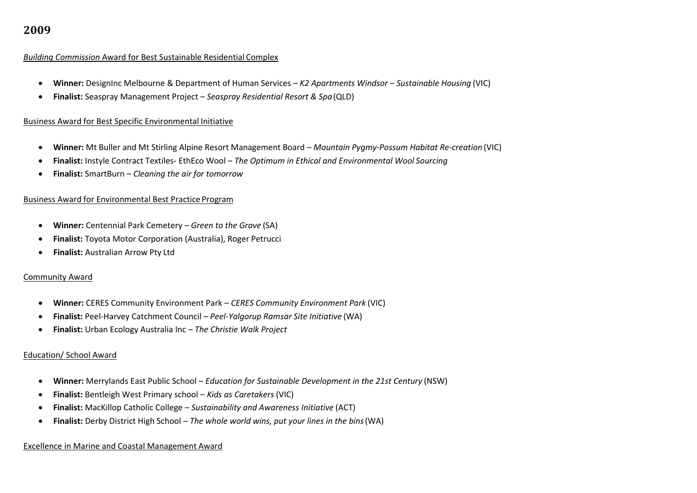#### *Building Commission* Award for Best Sustainable Residential Complex

- **Winner:** DesignInc Melbourne & Department of Human Services *K2 Apartments Windsor – Sustainable Housing* (VIC)
- **Finalist:** Seaspray Management Project *Seaspray Residential Resort & Spa*(QLD)

# Business Award for Best Specific Environmental Initiative

- **Winner:** Mt Buller and Mt Stirling Alpine Resort Management Board *Mountain Pygmy-Possum Habitat Re-creation* (VIC)
- **Finalist:** Instyle Contract Textiles- EthEco Wool *The Optimum in Ethical and Environmental Wool Sourcing*
- **Finalist:** SmartBurn *Cleaning the air for tomorrow*

# Business Award for Environmental Best Practice Program

- **Winner:** Centennial Park Cemetery *Green to the Grave* (SA)
- **Finalist:** Toyota Motor Corporation (Australia), Roger Petrucci
- **Finalist:** Australian Arrow Pty Ltd

# Community Award

- **Winner:** CERES Community Environment Park *CERES Community Environment Park* (VIC)
- **Finalist:** Peel-Harvey Catchment Council *Peel-Yalgorup Ramsar Site Initiative* (WA)
- **Finalist:** Urban Ecology Australia Inc *The Christie Walk Project*

# Education/ School Award

- **Winner:** Merrylands East Public School *Education for Sustainable Development in the 21st Century* (NSW)
- **Finalist:** Bentleigh West Primary school *Kids as Caretakers* (VIC)
- **Finalist:** MacKillop Catholic College *Sustainability and Awareness Initiative* (ACT)
- **Finalist:** Derby District High School *The whole world wins, put your lines in the bins*(WA)

# Excellence in Marine and Coastal Management Award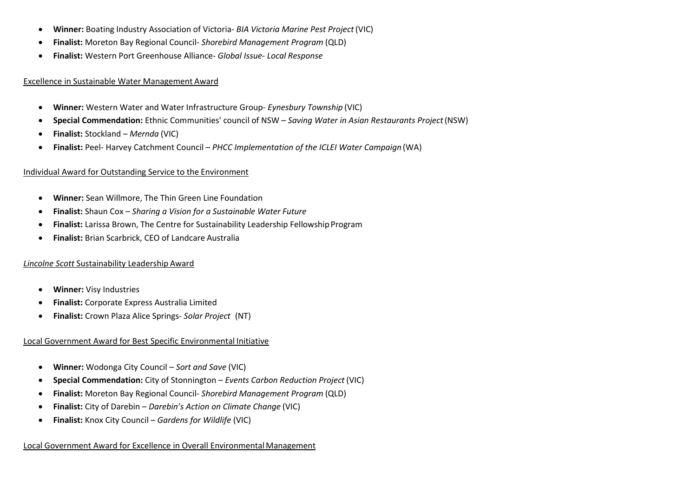- **Winner:** Boating Industry Association of Victoria- *BIA Victoria Marine Pest Project* (VIC)
- **Finalist:** Moreton Bay Regional Council- *Shorebird Management Program* (QLD)
- **Finalist:** Western Port Greenhouse Alliance- *Global Issue- Local Response*

## Excellence in Sustainable Water Management Award

- **Winner:** Western Water and Water Infrastructure Group- *Eynesbury Township* (VIC)
- **Special Commendation:** Ethnic Communities' council of NSW *Saving Water in Asian Restaurants Project*(NSW)
- **Finalist:** Stockland *Mernda* (VIC)
- **Finalist:** Peel- Harvey Catchment Council *PHCC Implementation of the ICLEI Water Campaign* (WA)

# Individual Award for Outstanding Service to the Environment

- **Winner:** Sean Willmore, The Thin Green Line Foundation
- **Finalist:** Shaun Cox *Sharing a Vision for a Sustainable Water Future*
- Finalist: Larissa Brown, The Centre for Sustainability Leadership Fellowship Program
- **Finalist:** Brian Scarbrick, CEO of Landcare Australia

# *Lincolne Scott* Sustainability Leadership Award

- **Winner:** Visy Industries
- **Finalist:** Corporate Express Australia Limited
- **Finalist:** Crown Plaza Alice Springs- *Solar Project* (NT)

# Local Government Award for Best Specific Environmental Initiative

- **Winner:** Wodonga City Council *Sort and Save* (VIC)
- **Special Commendation:** City of Stonnington *Events Carbon Reduction Project* (VIC)
- **Finalist:** Moreton Bay Regional Council- *Shorebird Management Program* (QLD)
- **Finalist:** City of Darebin *Darebin's Action on Climate Change* (VIC)
- **Finalist:** Knox City Council *Gardens for Wildlife* (VIC)

# Local Government Award for Excellence in Overall EnvironmentalManagement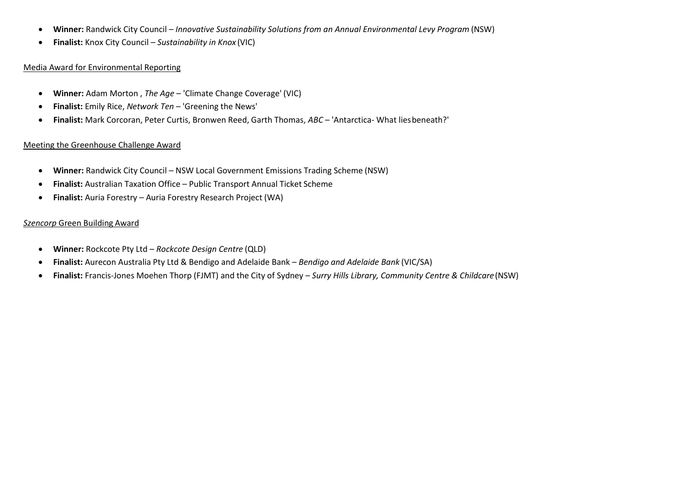- **Winner:** Randwick City Council *Innovative Sustainability Solutions from an Annual Environmental Levy Program* (NSW)
- **Finalist:** Knox City Council *Sustainability in Knox* (VIC)

#### Media Award for Environmental Reporting

- **Winner:** Adam Morton , *The Age*  'Climate Change Coverage' (VIC)
- **Finalist:** Emily Rice, *Network Ten*  'Greening the News'
- **Finalist:** Mark Corcoran, Peter Curtis, Bronwen Reed, Garth Thomas, *ABC*  'Antarctica- What liesbeneath?'

# Meeting the Greenhouse Challenge Award

- **Winner:** Randwick City Council NSW Local Government Emissions Trading Scheme (NSW)
- **Finalist:** Australian Taxation Office Public Transport Annual Ticket Scheme
- **Finalist:** Auria Forestry Auria Forestry Research Project (WA)

# *Szencorp* Green Building Award

- **Winner:** Rockcote Pty Ltd *Rockcote Design Centre* (QLD)
- **Finalist:** Aurecon Australia Pty Ltd & Bendigo and Adelaide Bank *Bendigo and Adelaide Bank* (VIC/SA)
- **Finalist:** Francis-Jones Moehen Thorp (FJMT) and the City of Sydney *Surry Hills Library, Community Centre & Childcare*(NSW)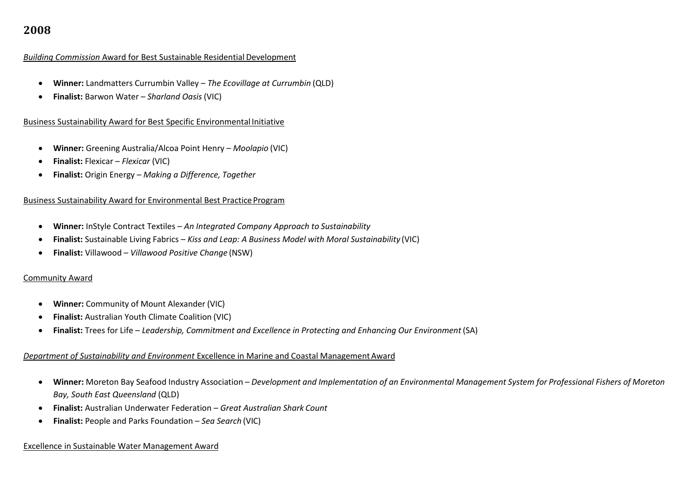#### *Building Commission* Award for Best Sustainable Residential Development

- **Winner:** Landmatters Currumbin Valley *The Ecovillage at Currumbin* (QLD)
- **Finalist:** Barwon Water *Sharland Oasis* (VIC)

## Business Sustainability Award for Best Specific Environmental Initiative

- **Winner:** Greening Australia/Alcoa Point Henry *Moolapio* (VIC)
- **Finalist:** Flexicar *Flexicar* (VIC)
- **Finalist:** Origin Energy *Making a Difference, Together*

#### Business Sustainability Award for Environmental Best Practice Program

- **Winner:** InStyle Contract Textiles *An Integrated Company Approach to Sustainability*
- **Finalist:** Sustainable Living Fabrics *Kiss and Leap: A Business Model with Moral Sustainability* (VIC)
- **Finalist:** Villawood *Villawood Positive Change* (NSW)

#### Community Award

- **Winner:** Community of Mount Alexander (VIC)
- **Finalist:** Australian Youth Climate Coalition (VIC)
- **Finalist:** Trees for Life *Leadership, Commitment and Excellence in Protecting and Enhancing Our Environment* (SA)

# *Department of Sustainability and Environment* Excellence in Marine and Coastal ManagementAward

- Winner: Moreton Bay Seafood Industry Association Development and Implementation of an Environmental Management System for Professional Fishers of Moreton *Bay, South East Queensland* (QLD)
- **Finalist:** Australian Underwater Federation *Great Australian Shark Count*
- **Finalist:** People and Parks Foundation *Sea Search* (VIC)

#### Excellence in Sustainable Water Management Award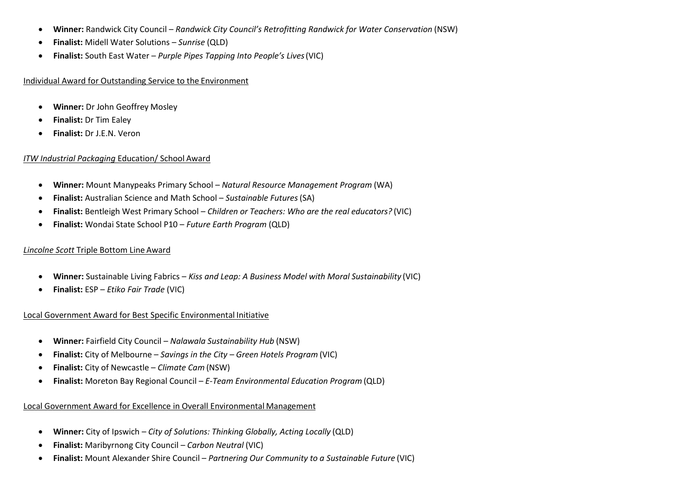- **Winner:** Randwick City Council *Randwick City Council's Retrofitting Randwick for Water Conservation* (NSW)
- **Finalist:** Midell Water Solutions *Sunrise* (QLD)
- **Finalist:** South East Water *Purple Pipes Tapping Into People's Lives*(VIC)

## Individual Award for Outstanding Service to the Environment

- **Winner:** Dr John Geoffrey Mosley
- **Finalist:** Dr Tim Ealey
- **Finalist:** Dr J.E.N. Veron

# *ITW Industrial Packaging* Education/ School Award

- **Winner:** Mount Manypeaks Primary School *Natural Resource Management Program* (WA)
- **Finalist:** Australian Science and Math School *Sustainable Futures*(SA)
- **Finalist:** Bentleigh West Primary School *Children or Teachers: Who are the real educators?* (VIC)
- **Finalist:** Wondai State School P10 *Future Earth Program* (QLD)

# *Lincolne Scott* Triple Bottom Line Award

- **Winner:** Sustainable Living Fabrics *Kiss and Leap: A Business Model with Moral Sustainability* (VIC)
- **Finalist:** ESP *Etiko Fair Trade* (VIC)

# Local Government Award for Best Specific Environmental Initiative

- **Winner:** Fairfield City Council *Nalawala Sustainability Hub* (NSW)
- **Finalist:** City of Melbourne *Savings in the City – Green Hotels Program* (VIC)
- **Finalist:** City of Newcastle *Climate Cam* (NSW)
- **Finalist:** Moreton Bay Regional Council *E‐Team Environmental Education Program* (QLD)

# Local Government Award for Excellence in Overall Environmental Management

- **Winner:** City of Ipswich *City of Solutions: Thinking Globally, Acting Locally* (QLD)
- **Finalist:** Maribyrnong City Council *Carbon Neutral* (VIC)
- **Finalist:** Mount Alexander Shire Council *Partnering Our Community to a Sustainable Future* (VIC)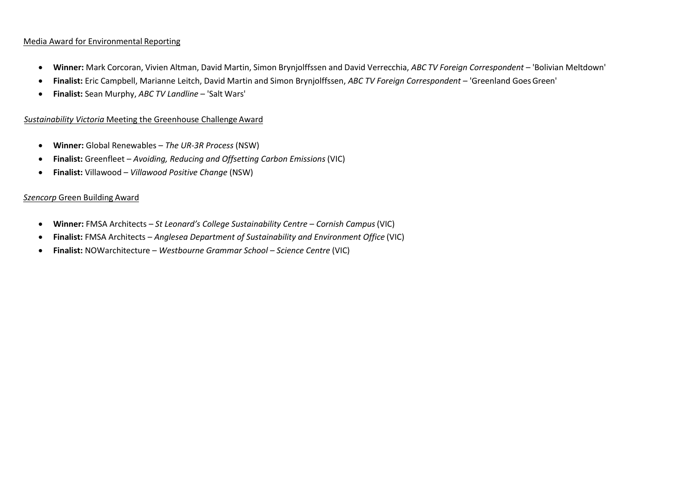# Media Award for Environmental Reporting

- **Winner:** Mark Corcoran, Vivien Altman, David Martin, Simon Brynjolffssen and David Verrecchia, *ABC TV Foreign Correspondent* 'Bolivian Meltdown'
- **Finalist:** Eric Campbell, Marianne Leitch, David Martin and Simon Brynjolffssen, *ABC TV Foreign Correspondent*  'Greenland GoesGreen'
- **Finalist:** Sean Murphy, *ABC TV Landline*  'Salt Wars'

### *Sustainability Victoria* Meeting the Greenhouse Challenge Award

- **Winner:** Global Renewables *The UR‐3R Process* (NSW)
- **Finalist:** Greenfleet *Avoiding, Reducing and Offsetting Carbon Emissions* (VIC)
- **Finalist:** Villawood *Villawood Positive Change* (NSW)

#### *Szencorp* Green Building Award

- **Winner:** FMSA Architects *– St Leonard's College Sustainability Centre – Cornish Campus*(VIC)
- **Finalist:** FMSA Architects *Anglesea Department of Sustainability and Environment Office* (VIC)
- **Finalist:** NOWarchitecture *Westbourne Grammar School – Science Centre* (VIC)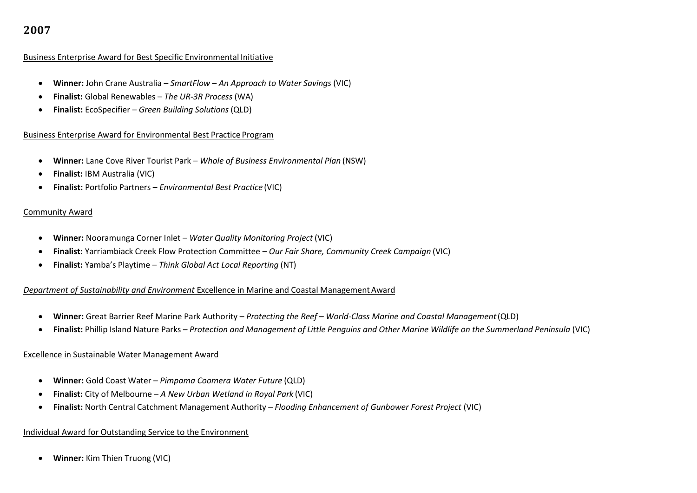#### Business Enterprise Award for Best Specific Environmental Initiative

- **Winner:** John Crane Australia *SmartFlow – An Approach to Water Savings* (VIC)
- **Finalist:** Global Renewables *The UR-3R Process* (WA)
- **Finalist:** EcoSpecifier *Green Building Solutions* (QLD)

# Business Enterprise Award for Environmental Best Practice Program

- **Winner:** Lane Cove River Tourist Park *Whole of Business Environmental Plan* (NSW)
- **Finalist:** IBM Australia (VIC)
- **Finalist:** Portfolio Partners *Environmental Best Practice* (VIC)

#### Community Award

- **Winner:** Nooramunga Corner Inlet *Water Quality Monitoring Project* (VIC)
- **Finalist:** Yarriambiack Creek Flow Protection Committee *Our Fair Share, Community Creek Campaign* (VIC)
- **Finalist:** Yamba's Playtime *Think Global Act Local Reporting* (NT)

# **Department of Sustainability and Environment Excellence in Marine and Coastal Management Award**

- **Winner:** Great Barrier Reef Marine Park Authority *Protecting the Reef – World-Class Marine and Coastal Management*(QLD)
- Finalist: Phillip Island Nature Parks Protection and Management of Little Penguins and Other Marine Wildlife on the Summerland Peninsula (VIC)

#### Excellence in Sustainable Water Management Award

- **Winner:** Gold Coast Water *Pimpama Coomera Water Future* (QLD)
- **Finalist:** City of Melbourne *A New Urban Wetland in Royal Park* (VIC)
- **Finalist:** North Central Catchment Management Authority *Flooding Enhancement of Gunbower Forest Project* (VIC)

#### Individual Award for Outstanding Service to the Environment

**Winner:** Kim Thien Truong (VIC)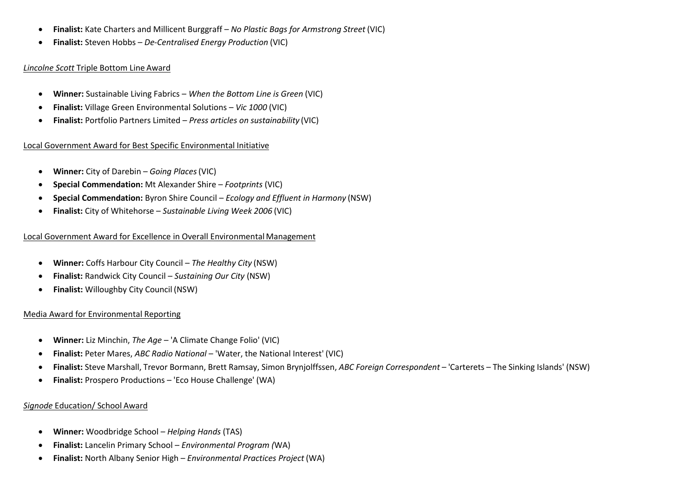- **Finalist:** Kate Charters and Millicent Burggraff *No Plastic Bags for Armstrong Street* (VIC)
- **Finalist:** Steven Hobbs *De-Centralised Energy Production* (VIC)

# *Lincolne Scott* Triple Bottom Line Award

- **Winner:** Sustainable Living Fabrics *When the Bottom Line is Green* (VIC)
- **Finalist:** Village Green Environmental Solutions *Vic 1000* (VIC)
- **Finalist:** Portfolio Partners Limited *Press articles on sustainability* (VIC)

# Local Government Award for Best Specific Environmental Initiative

- **Winner:** City of Darebin *Going Places*(VIC)
- **Special Commendation:** Mt Alexander Shire *Footprints* (VIC)
- **Special Commendation:** Byron Shire Council *Ecology and Effluent in Harmony* (NSW)
- **Finalist:** City of Whitehorse *Sustainable Living Week 2006* (VIC)

# Local Government Award for Excellence in Overall EnvironmentalManagement

- **Winner:** Coffs Harbour City Council *The Healthy City* (NSW)
- **Finalist:** Randwick City Council *Sustaining Our City* (NSW)
- **Finalist:** Willoughby City Council (NSW)

# Media Award for Environmental Reporting

- **Winner:** Liz Minchin, *The Age*  'A Climate Change Folio' (VIC)
- **Finalist:** Peter Mares, *ABC Radio National*  'Water, the National Interest' (VIC)
- **Finalist:** Steve Marshall, Trevor Bormann, Brett Ramsay, Simon Brynjolffssen, *ABC Foreign Correspondent* 'Carterets The Sinking Islands' (NSW)
- **Finalist:** Prospero Productions 'Eco House Challenge' (WA)

# *Signode* Education/ School Award

- **Winner:** Woodbridge School *Helping Hands* (TAS)
- **Finalist:** Lancelin Primary School *Environmental Program (*WA)
- **Finalist:** North Albany Senior High *Environmental Practices Project* (WA)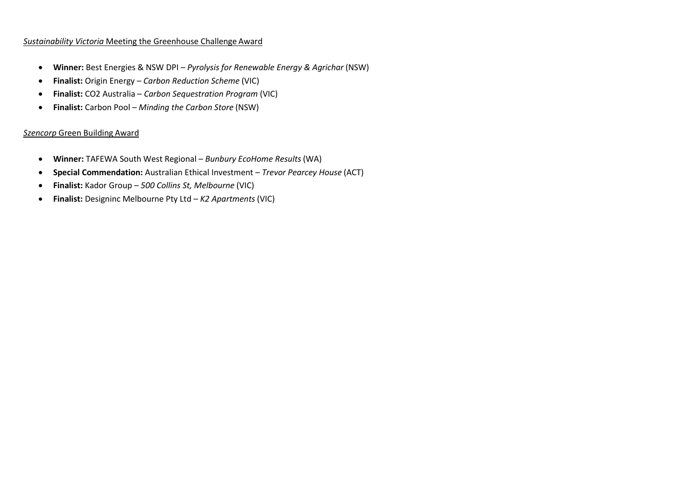# *Sustainability Victoria* Meeting the Greenhouse Challenge Award

- **Winner:** Best Energies & NSW DPI *Pyrolysis for Renewable Energy & Agrichar* (NSW)
- **Finalist:** Origin Energy *Carbon Reduction Scheme* (VIC)
- **Finalist:** CO2 Australia *Carbon Sequestration Program* (VIC)
- **Finalist:** Carbon Pool *Minding the Carbon Store* (NSW)

# *Szencorp* Green Building Award

- **Winner:** TAFEWA South West Regional *Bunbury EcoHome Results*(WA)
- **Special Commendation:** Australian Ethical Investment *Trevor Pearcey House* (ACT)
- **Finalist:** Kador Group *500 Collins St, Melbourne* (VIC)
- **Finalist:** Designinc Melbourne Pty Ltd *K2 Apartments* (VIC)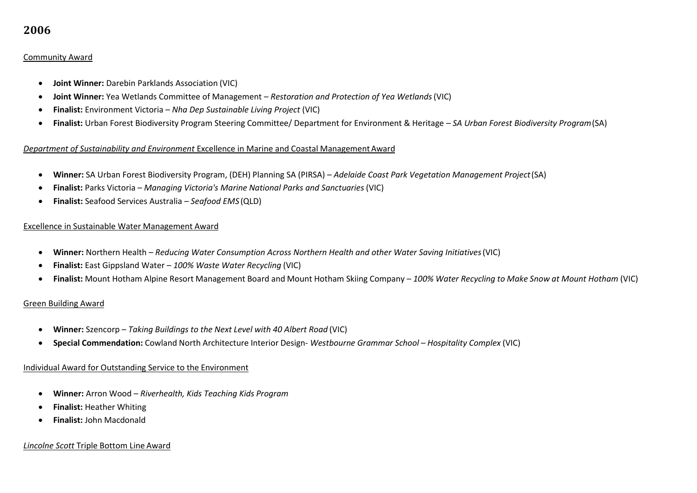# Community Award

- **Joint Winner:** Darebin Parklands Association (VIC)
- **Joint Winner:** Yea Wetlands Committee of Management *Restoration and Protection of Yea Wetlands*(VIC)
- **Finalist:** Environment Victoria *Nha Dep Sustainable Living Project* (VIC)
- **Finalist:** Urban Forest Biodiversity Program Steering Committee/ Department for Environment & Heritage *SA Urban Forest Biodiversity Program*(SA)

# *Department of Sustainability and Environment* Excellence in Marine and Coastal ManagementAward

- **Winner:** SA Urban Forest Biodiversity Program, (DEH) Planning SA (PIRSA) *Adelaide Coast Park Vegetation Management Project*(SA)
- **Finalist:** Parks Victoria *Managing Victoria's Marine National Parks and Sanctuaries* (VIC)
- **Finalist:** Seafood Services Australia *Seafood EMS* (QLD)

# Excellence in Sustainable Water Management Award

- **Winner:** Northern Health *Reducing Water Consumption Across Northern Health and other Water Saving Initiatives*(VIC)
- **Finalist:** East Gippsland Water *100% Waste Water Recycling* (VIC)
- **Finalist:** Mount Hotham Alpine Resort Management Board and Mount Hotham Skiing Company *100% Water Recycling to Make Snow at Mount Hotham* (VIC)

# Green Building Award

- **Winner:** Szencorp *Taking Buildings to the Next Level with 40 Albert Road* (VIC)
- **Special Commendation:** Cowland North Architecture Interior Design- *Westbourne Grammar School – Hospitality Complex* (VIC)

#### Individual Award for Outstanding Service to the Environment

- **Winner:** Arron Wood *Riverhealth, Kids Teaching Kids Program*
- **•** Finalist: Heather Whiting
- **Finalist:** John Macdonald

#### *Lincolne Scott* Triple Bottom Line Award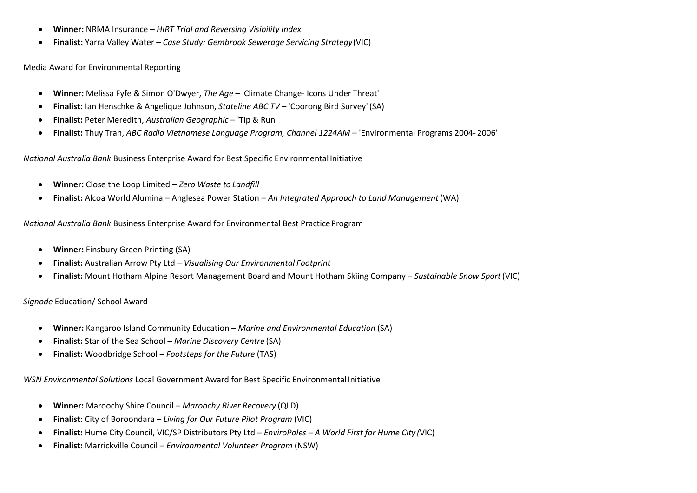- **Winner:** NRMA Insurance *HIRT Trial and Reversing Visibility Index*
- **Finalist:** Yarra Valley Water *Case Study: Gembrook Sewerage Servicing Strategy*(VIC)

#### Media Award for Environmental Reporting

- **Winner:** Melissa Fyfe & Simon O'Dwyer, *The Age*  'Climate Change- Icons Under Threat'
- **Finalist:** Ian Henschke & Angelique Johnson, *Stateline ABC TV*  'Coorong Bird Survey'(SA)
- **Finalist:** Peter Meredith, *Australian Geographic*  'Tip & Run'
- **Finalist:** Thuy Tran, *ABC Radio Vietnamese Language Program, Channel 1224AM*  'Environmental Programs 2004- 2006'

# *National Australia Bank* Business Enterprise Award for Best Specific EnvironmentalInitiative

- **Winner:** Close the Loop Limited *Zero Waste to Landfill*
- **Finalist:** Alcoa World Alumina Anglesea Power Station *An Integrated Approach to Land Management* (WA)

# *National Australia Bank* Business Enterprise Award for Environmental Best Practice Program

- **Winner:** Finsbury Green Printing (SA)
- **Finalist:** Australian Arrow Pty Ltd *Visualising Our Environmental Footprint*
- **Finalist:** Mount Hotham Alpine Resort Management Board and Mount Hotham Skiing Company *Sustainable Snow Sport*(VIC)

# *Signode* Education/ School Award

- **Winner:** Kangaroo Island Community Education *Marine and Environmental Education* (SA)
- **Finalist:** Star of the Sea School *Marine Discovery Centre* (SA)
- **Finalist:** Woodbridge School *Footsteps for the Future* (TAS)

# *WSN Environmental Solutions* Local Government Award for Best Specific Environmental Initiative

- **Winner:** Maroochy Shire Council *Maroochy River Recovery* (QLD)
- **Finalist:** City of Boroondara *Living for Our Future Pilot Program* (VIC)
- **Finalist:** Hume City Council, VIC/SP Distributors Pty Ltd *EnviroPoles – A World First for Hume City (*VIC)
- **Finalist:** Marrickville Council *Environmental Volunteer Program* (NSW)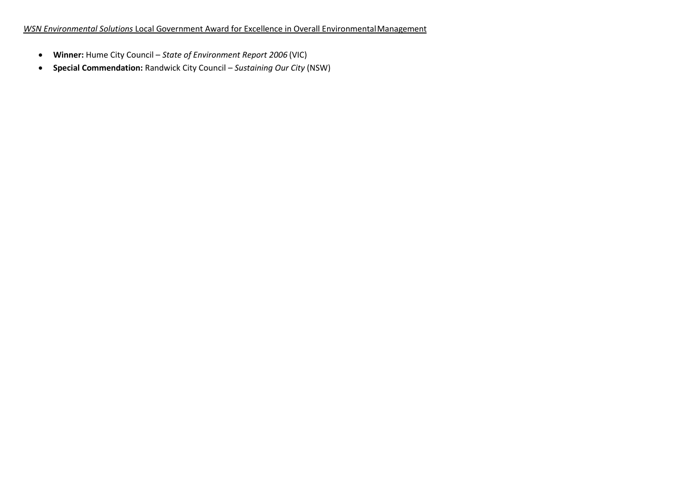- **Winner:** Hume City Council *State of Environment Report 2006* (VIC)
- **Special Commendation:** Randwick City Council *Sustaining Our City* (NSW)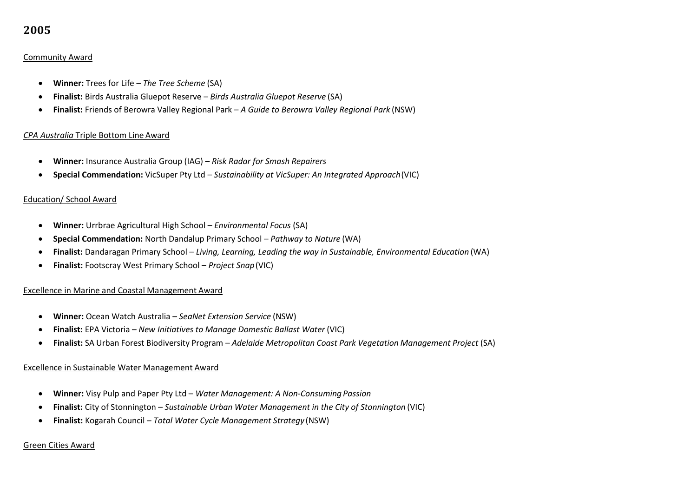# Community Award

- **Winner:** Trees for Life *The Tree Scheme* (SA)
- **Finalist:** Birds Australia Gluepot Reserve *Birds Australia Gluepot Reserve* (SA)
- **Finalist:** Friends of Berowra Valley Regional Park *A Guide to Berowra Valley Regional Park* (NSW)

#### *CPA Australia* Triple Bottom Line Award

- **Winner:** Insurance Australia Group (IAG) *Risk Radar for Smash Repairers*
- **Special Commendation:** VicSuper Pty Ltd *Sustainability at VicSuper: An Integrated Approach*(VIC)

#### Education/ School Award

- **Winner:** Urrbrae Agricultural High School *Environmental Focus* (SA)
- **Special Commendation:** North Dandalup Primary School *Pathway to Nature* (WA)
- **Finalist:** Dandaragan Primary School *Living, Learning, Leading the way in Sustainable, Environmental Education* (WA)
- **Finalist:** Footscray West Primary School *Project Snap*(VIC)

# Excellence in Marine and Coastal Management Award

- **Winner:** Ocean Watch Australia *SeaNet Extension Service* (NSW)
- **Finalist:** EPA Victoria *New Initiatives to Manage Domestic Ballast Water* (VIC)
- **Finalist:** SA Urban Forest Biodiversity Program *Adelaide Metropolitan Coast Park Vegetation Management Project* (SA)

#### Excellence in Sustainable Water Management Award

- **Winner:** Visy Pulp and Paper Pty Ltd *Water Management: A Non-Consuming Passion*
- **Finalist:** City of Stonnington *Sustainable Urban Water Management in the City of Stonnington* (VIC)
- **Finalist:** Kogarah Council *Total Water Cycle Management Strategy* (NSW)

#### Green Cities Award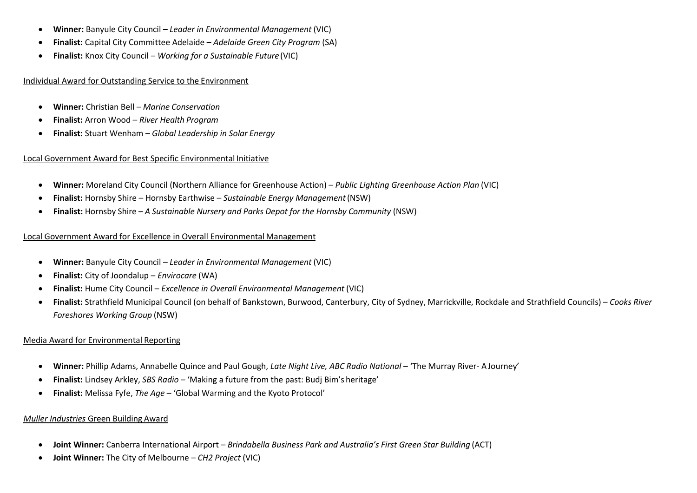- **Winner:** Banyule City Council *Leader in Environmental Management* (VIC)
- **Finalist:** Capital City Committee Adelaide *Adelaide Green City Program* (SA)
- **Finalist:** Knox City Council *Working for a Sustainable Future*(VIC)

Individual Award for Outstanding Service to the Environment

- **Winner:** Christian Bell *Marine Conservation*
- **Finalist:** Arron Wood *River Health Program*
- **Finalist:** Stuart Wenham *Global Leadership in Solar Energy*

# Local Government Award for Best Specific Environmental Initiative

- **Winner:** Moreland City Council (Northern Alliance for Greenhouse Action) *Public Lighting Greenhouse Action Plan* (VIC)
- **Finalist:** Hornsby Shire Hornsby Earthwise *Sustainable Energy Management*(NSW)
- **Finalist:** Hornsby Shire *A Sustainable Nursery and Parks Depot for the Hornsby Community* (NSW)

# Local Government Award for Excellence in Overall Environmental Management

- **Winner:** Banyule City Council *Leader in Environmental Management* (VIC)
- **Finalist:** City of Joondalup *Envirocare* (WA)
- **Finalist:** Hume City Council *Excellence in Overall Environmental Management* (VIC)
- **Finalist:** Strathfield Municipal Council (on behalf of Bankstown, Burwood, Canterbury, City of Sydney, Marrickville, Rockdale and Strathfield Councils) *Cooks River Foreshores Working Group* (NSW)

# Media Award for Environmental Reporting

- **Winner:** Phillip Adams, Annabelle Quince and Paul Gough, *Late Night Live, ABC Radio National*  'The Murray River- AJourney'
- **Finalist:** Lindsey Arkley, *SBS Radio*  'Making a future from the past: Budj Bim's heritage'
- **Finalist:** Melissa Fyfe, *The Age*  'Global Warming and the Kyoto Protocol'

# *Muller Industries* Green Building Award

- **Joint Winner:** Canberra International Airport *Brindabella Business Park and Australia's First Green Star Building* (ACT)
- **Joint Winner:** The City of Melbourne *CH2 Project* (VIC)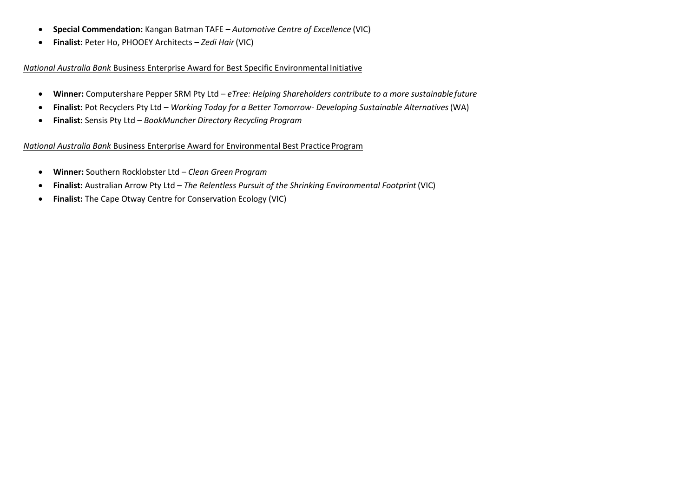- **Special Commendation:** Kangan Batman TAFE *Automotive Centre of Excellence* (VIC)
- **Finalist:** Peter Ho, PHOOEY Architects *Zedi Hair* (VIC)

## *National Australia Bank* Business Enterprise Award for Best Specific EnvironmentalInitiative

- **Winner:** Computershare Pepper SRM Pty Ltd *eTree: Helping Shareholders contribute to a more sustainablefuture*
- **Finalist:** Pot Recyclers Pty Ltd *Working Today for a Better Tomorrow- Developing Sustainable Alternatives*(WA)
- **Finalist:** Sensis Pty Ltd *BookMuncher Directory Recycling Program*

# *National Australia Bank Business Enterprise Award for Environmental Best Practice Program*

- **Winner:** Southern Rocklobster Ltd *Clean Green Program*
- **Finalist:** Australian Arrow Pty Ltd *The Relentless Pursuit of the Shrinking Environmental Footprint* (VIC)
- **Finalist:** The Cape Otway Centre for Conservation Ecology (VIC)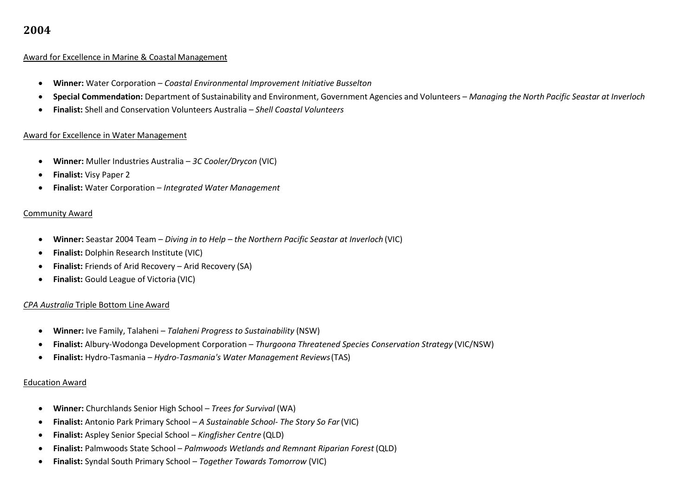#### Award for Excellence in Marine & Coastal Management

- **Winner:** Water Corporation *Coastal Environmental Improvement Initiative Busselton*
- **Special Commendation:** Department of Sustainability and Environment, Government Agencies and Volunteers *Managing the North Pacific Seastar at Inverloch*
- **Finalist:** Shell and Conservation Volunteers Australia *Shell Coastal Volunteers*

#### Award for Excellence in Water Management

- **Winner:** Muller Industries Australia *3C Cooler/Drycon* (VIC)
- **Finalist:** Visy Paper 2
- **Finalist:** Water Corporation *Integrated Water Management*

#### Community Award

- **Winner:** Seastar 2004 Team *Diving in to Help – the Northern Pacific Seastar at Inverloch* (VIC)
- **Finalist:** Dolphin Research Institute (VIC)
- **Finalist:** Friends of Arid Recovery Arid Recovery (SA)
- **Finalist:** Gould League of Victoria (VIC)

# *CPA Australia* Triple Bottom Line Award

- **Winner:** Ive Family, Talaheni *Talaheni Progress to Sustainability* (NSW)
- **Finalist:** Albury-Wodonga Development Corporation *Thurgoona Threatened Species Conservation Strategy* (VIC/NSW)
- **Finalist:** Hydro-Tasmania *Hydro-Tasmania's Water Management Reviews*(TAS)

#### Education Award

- **Winner:** Churchlands Senior High School *Trees for Survival* (WA)
- **Finalist:** Antonio Park Primary School *A Sustainable School- The Story So Far*(VIC)
- **Finalist:** Aspley Senior Special School *Kingfisher Centre* (QLD)
- **Finalist:** Palmwoods State School *Palmwoods Wetlands and Remnant Riparian Forest* (QLD)
- **Finalist:** Syndal South Primary School *Together Towards Tomorrow* (VIC)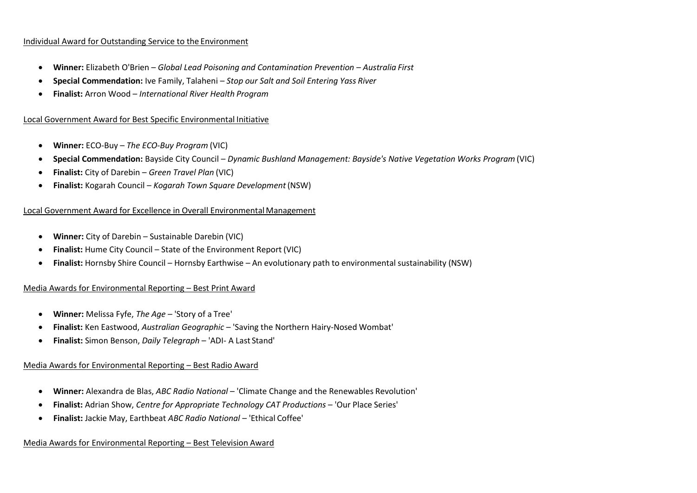#### Individual Award for Outstanding Service to the Environment

- **Winner:** Elizabeth O'Brien *Global Lead Poisoning and Contamination Prevention – Australia First*
- **Special Commendation:** Ive Family, Talaheni *Stop our Salt and Soil Entering Yass River*
- **Finalist:** Arron Wood *International River Health Program*

## Local Government Award for Best Specific Environmental Initiative

- **Winner:** ECO-Buy *The ECO-Buy Program* (VIC)
- **Special Commendation:** Bayside City Council *Dynamic Bushland Management: Bayside's Native Vegetation Works Program* (VIC)
- **Finalist:** City of Darebin *Green Travel Plan* (VIC)
- **Finalist:** Kogarah Council *Kogarah Town Square Development*(NSW)

#### Local Government Award for Excellence in Overall EnvironmentalManagement

- **Winner:** City of Darebin Sustainable Darebin (VIC)
- **Finalist:** Hume City Council State of the Environment Report (VIC)
- **Finalist:** Hornsby Shire Council Hornsby Earthwise An evolutionary path to environmental sustainability (NSW)

#### Media Awards for Environmental Reporting – Best Print Award

- **Winner:** Melissa Fyfe, *The Age*  'Story of a Tree'
- **Finalist:** Ken Eastwood, *Australian Geographic*  'Saving the Northern Hairy-Nosed Wombat'
- **Finalist:** Simon Benson, *Daily Telegraph*  'ADI- A Last Stand'

#### Media Awards for Environmental Reporting – Best Radio Award

- **Winner:** Alexandra de Blas, *ABC Radio National*  'Climate Change and the Renewables Revolution'
- **Finalist:** Adrian Show, *Centre for Appropriate Technology CAT Productions*  'Our Place Series'
- **Finalist:** Jackie May, Earthbeat *ABC Radio National*  'Ethical Coffee'

#### Media Awards for Environmental Reporting – Best Television Award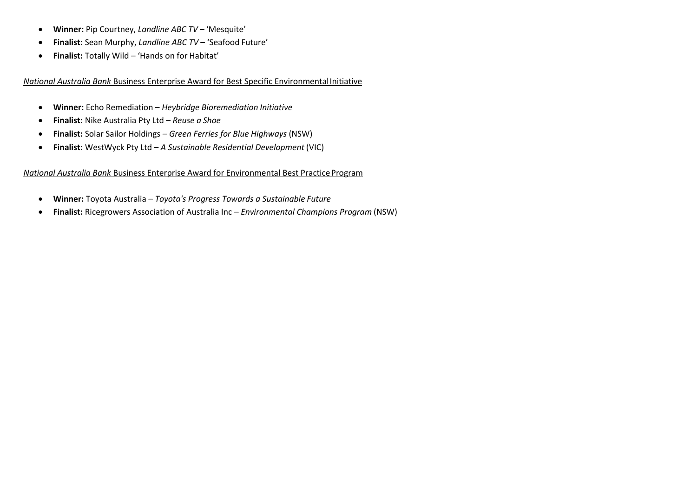- **Winner:** Pip Courtney, *Landline ABC TV*  'Mesquite'
- **Finalist:** Sean Murphy, *Landline ABC TV*  'Seafood Future'
- **Finalist:** Totally Wild 'Hands on for Habitat'

*National Australia Bank* Business Enterprise Award for Best Specific EnvironmentalInitiative

- **Winner:** Echo Remediation *Heybridge Bioremediation Initiative*
- **Finalist:** Nike Australia Pty Ltd *Reuse a Shoe*
- **Finalist:** Solar Sailor Holdings *Green Ferries for Blue Highways* (NSW)
- **Finalist:** WestWyck Pty Ltd *A Sustainable Residential Development* (VIC)

# **National Australia Bank Business Enterprise Award for Environmental Best Practice Program**

- **Winner:** Toyota Australia *Toyota's Progress Towards a Sustainable Future*
- **Finalist:** Ricegrowers Association of Australia Inc *Environmental Champions Program* (NSW)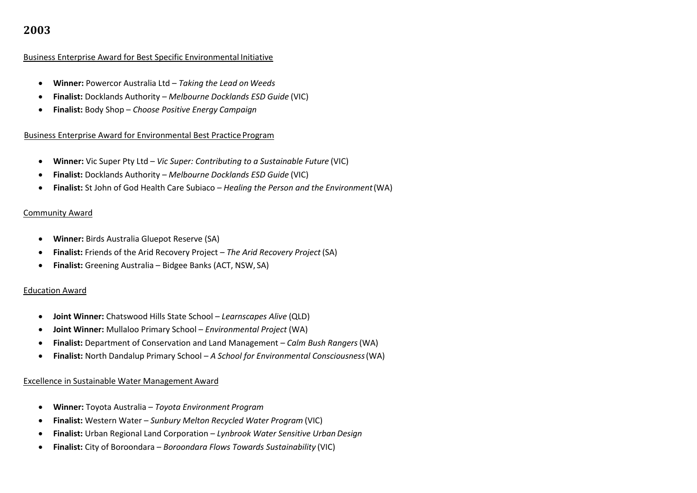#### Business Enterprise Award for Best Specific Environmental Initiative

- **Winner:** Powercor Australia Ltd *Taking the Lead on Weeds*
- **Finalist:** Docklands Authority *Melbourne Docklands ESD Guide* (VIC)
- **Finalist:** Body Shop *Choose Positive Energy Campaign*

#### Business Enterprise Award for Environmental Best Practice Program

- **Winner:** Vic Super Pty Ltd *Vic Super: Contributing to a Sustainable Future* (VIC)
- **Finalist:** Docklands Authority *Melbourne Docklands ESD Guide* (VIC)
- **Finalist:** St John of God Health Care Subiaco *Healing the Person and the Environment*(WA)

#### Community Award

- **Winner:** Birds Australia Gluepot Reserve (SA)
- **Finalist:** Friends of the Arid Recovery Project *The Arid Recovery Project* (SA)
- **Finalist:** Greening Australia Bidgee Banks (ACT, NSW, SA)

# Education Award

- **Joint Winner:** Chatswood Hills State School *Learnscapes Alive* (QLD)
- **Joint Winner:** Mullaloo Primary School *Environmental Project* (WA)
- **Finalist:** Department of Conservation and Land Management *Calm Bush Rangers*(WA)
- **Finalist:** North Dandalup Primary School *A School for Environmental Consciousness*(WA)

# Excellence in Sustainable Water Management Award

- **Winner:** Toyota Australia *Toyota Environment Program*
- **Finalist:** Western Water *Sunbury Melton Recycled Water Program* (VIC)
- **Finalist:** Urban Regional Land Corporation *Lynbrook Water Sensitive Urban Design*
- **Finalist:** City of Boroondara *Boroondara Flows Towards Sustainability* (VIC)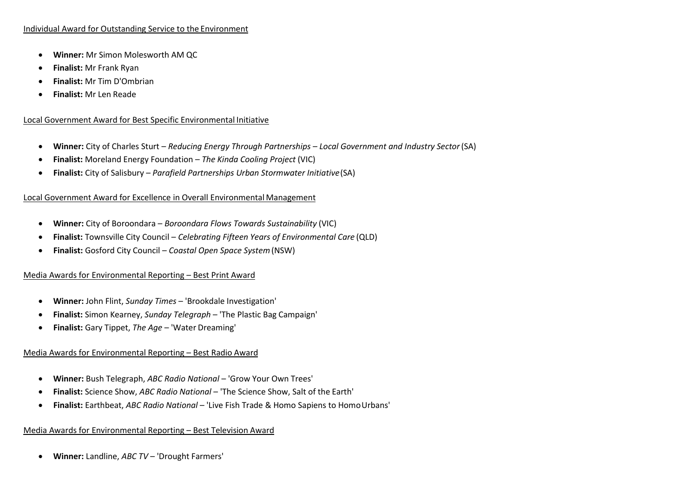# Individual Award for Outstanding Service to the Environment

- **Winner:** Mr Simon Molesworth AM QC
- **Finalist:** Mr Frank Ryan
- **Finalist:** Mr Tim D'Ombrian
- **Finalist:** Mr Len Reade

## Local Government Award for Best Specific Environmental Initiative

- **Winner:** City of Charles Sturt *Reducing Energy Through Partnerships – Local Government and Industry Sector*(SA)
- **Finalist:** Moreland Energy Foundation *The Kinda Cooling Project* (VIC)
- **Finalist:** City of Salisbury *Parafield Partnerships Urban Stormwater Initiative*(SA)

#### Local Government Award for Excellence in Overall Environmental Management

- **Winner:** City of Boroondara *Boroondara Flows Towards Sustainability* (VIC)
- **Finalist:** Townsville City Council *Celebrating Fifteen Years of Environmental Care* (QLD)
- **Finalist:** Gosford City Council *Coastal Open Space System*(NSW)

# Media Awards for Environmental Reporting – Best Print Award

- **Winner:** John Flint, *Sunday Times*  'Brookdale Investigation'
- **Finalist:** Simon Kearney, *Sunday Telegraph*  'The Plastic Bag Campaign'
- **Finalist:** Gary Tippet, *The Age*  'Water Dreaming'

#### Media Awards for Environmental Reporting – Best Radio Award

- Winner: Bush Telegraph, *ABC Radio National* 'Grow Your Own Trees'
- **Finalist:** Science Show, *ABC Radio National*  'The Science Show, Salt of the Earth'
- **Finalist:** Earthbeat, *ABC Radio National*  'Live Fish Trade & Homo Sapiens to HomoUrbans'

# Media Awards for Environmental Reporting – Best Television Award

**Winner:** Landline, *ABC TV* – 'Drought Farmers'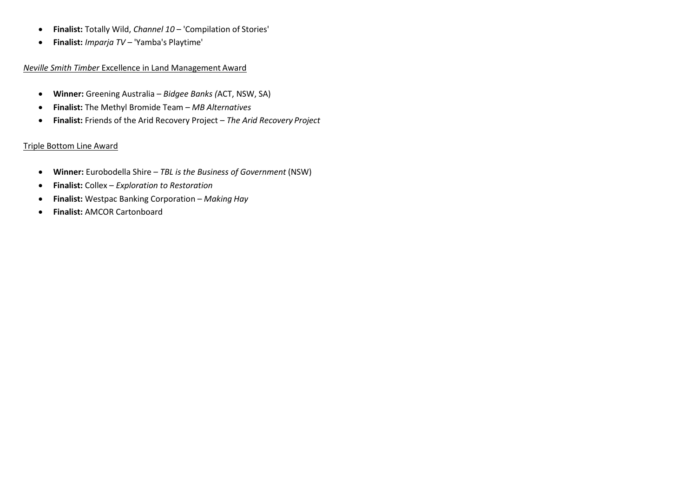- **Finalist:** Totally Wild, *Channel 10*  'Compilation of Stories'
- **Finalist:** *Imparja TV*  'Yamba's Playtime'

# *Neville Smith Timber* Excellence in Land Management Award

- **Winner:** Greening Australia *Bidgee Banks (*ACT, NSW, SA)
- **Finalist:** The Methyl Bromide Team *MB Alternatives*
- **Finalist:** Friends of the Arid Recovery Project *The Arid Recovery Project*

# Triple Bottom Line Award

- **Winner:** Eurobodella Shire *TBL is the Business of Government* (NSW)
- **Finalist:** Collex *Exploration to Restoration*
- **Finalist:** Westpac Banking Corporation *Making Hay*
- **Finalist:** AMCOR Cartonboard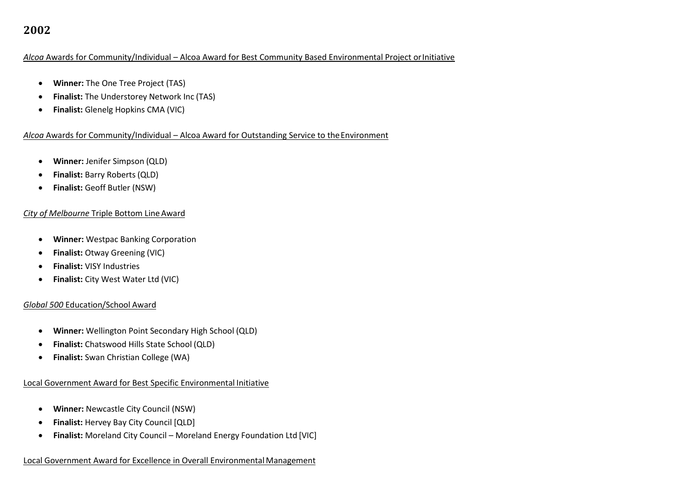# *Alcoa* Awards for Community/Individual – Alcoa Award for Best Community Based Environmental Project orInitiative

- **Winner:** The One Tree Project (TAS)
- **Finalist:** The Understorey Network Inc (TAS)
- **•** Finalist: Glenelg Hopkins CMA (VIC)

#### Alcoa Awards for Community/Individual – Alcoa Award for Outstanding Service to the Environment

- **Winner:** Jenifer Simpson (QLD)
- **Finalist:** Barry Roberts (QLD)
- **Finalist:** Geoff Butler (NSW)

# *City of Melbourne* Triple Bottom Line Award

- **Winner:** Westpac Banking Corporation
- **Finalist: Otway Greening (VIC)**
- **Finalist:** VISY Industries
- **•** Finalist: City West Water Ltd (VIC)

# *Global 500* Education/School Award

- **Winner:** Wellington Point Secondary High School (QLD)
- **Finalist:** Chatswood Hills State School (QLD)
- **Finalist:** Swan Christian College (WA)

# Local Government Award for Best Specific Environmental Initiative

- **Winner:** Newcastle City Council (NSW)
- **Finalist:** Hervey Bay City Council [QLD]
- **Finalist:** Moreland City Council Moreland Energy Foundation Ltd [VIC]

# Local Government Award for Excellence in Overall EnvironmentalManagement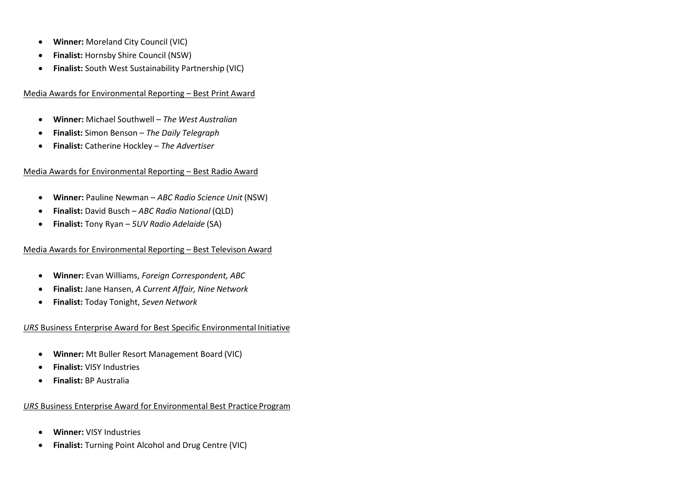- **Winner:** Moreland City Council (VIC)
- **Finalist:** Hornsby Shire Council (NSW)
- **Finalist:** South West Sustainability Partnership (VIC)

# Media Awards for Environmental Reporting – Best Print Award

- **Winner:** Michael Southwell *The West Australian*
- **Finalist:** Simon Benson *The Daily Telegraph*
- **Finalist:** Catherine Hockley *The Advertiser*

# Media Awards for Environmental Reporting – Best Radio Award

- **Winner:** Pauline Newman *ABC Radio Science Unit* (NSW)
- **Finalist:** David Busch *ABC Radio National* (QLD)
- **Finalist:** Tony Ryan *5UV Radio Adelaide* (SA)

# Media Awards for Environmental Reporting – Best Televison Award

- **Winner:** Evan Williams, *Foreign Correspondent, ABC*
- **Finalist:** Jane Hansen, *A Current Affair, Nine Network*
- **Finalist:** Today Tonight, *Seven Network*

# *URS* Business Enterprise Award for Best Specific Environmental Initiative

- **Winner:** Mt Buller Resort Management Board (VIC)
- **Finalist:** VISY Industries
- **Finalist:** BP Australia

# *URS* Business Enterprise Award for Environmental Best Practice Program

- **Winner:** VISY Industries
- **Finalist:** Turning Point Alcohol and Drug Centre (VIC)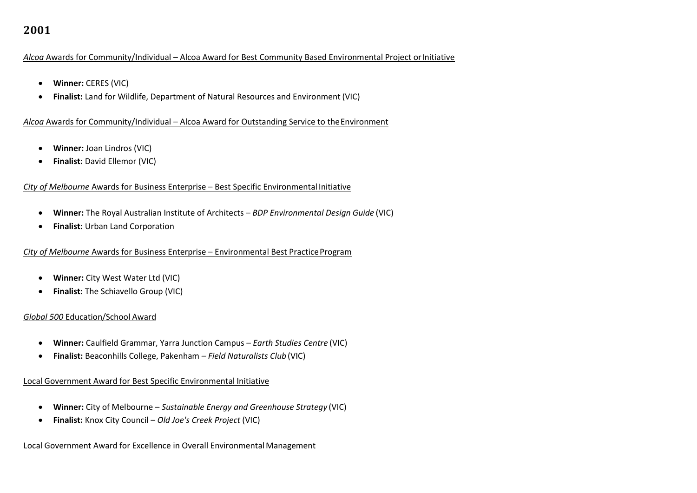### *Alcoa* Awards for Community/Individual – Alcoa Award for Best Community Based Environmental Project orInitiative

- **Winner:** CERES (VIC)
- **Finalist:** Land for Wildlife, Department of Natural Resources and Environment (VIC)

#### *Alcoa* Awards for Community/Individual – Alcoa Award for Outstanding Service to theEnvironment

- **Winner:** Joan Lindros (VIC)
- **Finalist:** David Ellemor (VIC)

# *City of Melbourne* Awards for Business Enterprise – Best Specific Environmental Initiative

- **Winner:** The Royal Australian Institute of Architects *BDP Environmental Design Guide* (VIC)
- **Finalist:** Urban Land Corporation

# *City of Melbourne* Awards for Business Enterprise – Environmental Best Practice Program

- **Winner:** City West Water Ltd (VIC)
- **Finalist:** The Schiavello Group (VIC)

# *Global 500* Education/School Award

- **Winner:** Caulfield Grammar, Yarra Junction Campus *Earth Studies Centre* (VIC)
- **Finalist:** Beaconhills College, Pakenham *Field Naturalists Club* (VIC)

# Local Government Award for Best Specific Environmental Initiative

- **Winner:** City of Melbourne *Sustainable Energy and Greenhouse Strategy* (VIC)
- **Finalist:** Knox City Council *Old Joe's Creek Project* (VIC)

# Local Government Award for Excellence in Overall Environmental Management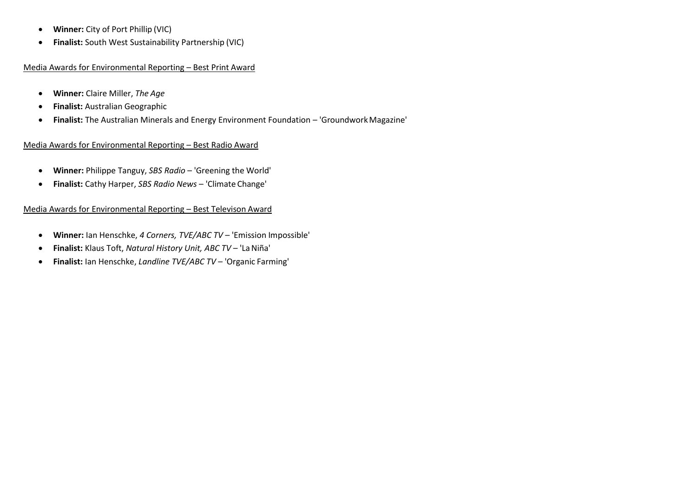- **Winner:** City of Port Phillip (VIC)
- **Finalist:** South West Sustainability Partnership (VIC)

# Media Awards for Environmental Reporting – Best Print Award

- **Winner:** Claire Miller, *The Age*
- **Finalist:** Australian Geographic
- **Finalist:** The Australian Minerals and Energy Environment Foundation 'GroundworkMagazine'

# Media Awards for Environmental Reporting – Best Radio Award

- **Winner:** Philippe Tanguy, *SBS Radio*  'Greening the World'
- **Finalist:** Cathy Harper, *SBS Radio News*  'Climate Change'

# Media Awards for Environmental Reporting – Best Televison Award

- **Winner:** Ian Henschke, *4 Corners, TVE/ABC TV*  'Emission Impossible'
- **Finalist:** Klaus Toft, *Natural History Unit, ABC TV*  'LaNiña'
- **Finalist:** Ian Henschke, *Landline TVE/ABC TV*  'Organic Farming'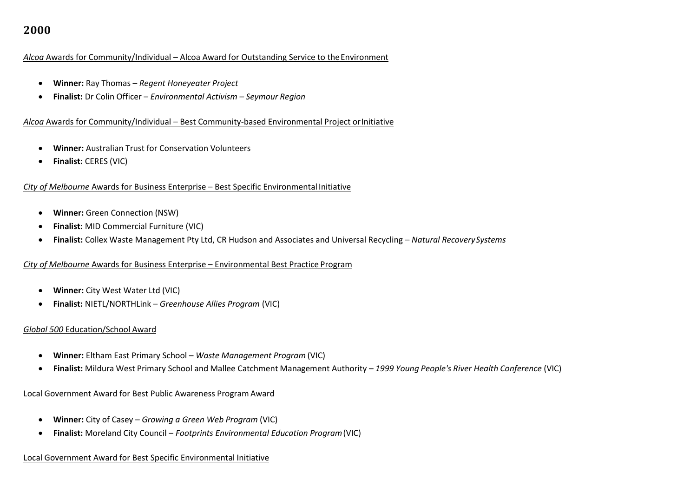#### *Alcoa* Awards for Community/Individual – Alcoa Award for Outstanding Service to theEnvironment

- **Winner:** Ray Thomas *Regent Honeyeater Project*
- **Finalist:** Dr Colin Officer *Environmental Activism – Seymour Region*

#### *Alcoa* Awards for Community/Individual – Best Community-based Environmental Project orInitiative

- **Winner:** Australian Trust for Conservation Volunteers
- **Finalist:** CERES (VIC)

# *City of Melbourne* Awards for Business Enterprise – Best Specific Environmental Initiative

- **Winner:** Green Connection (NSW)
- **Finalist:** MID Commercial Furniture (VIC)
- **Finalist:** Collex Waste Management Pty Ltd, CR Hudson and Associates and Universal Recycling *Natural RecoverySystems*

# *City of Melbourne* Awards for Business Enterprise – Environmental Best Practice Program

- **Winner:** City West Water Ltd (VIC)
- **Finalist:** NIETL/NORTHLink *Greenhouse Allies Program* (VIC)

#### *Global 500* Education/School Award

- **Winner:** Eltham East Primary School *Waste Management Program* (VIC)
- **Finalist:** Mildura West Primary School and Mallee Catchment Management Authority *1999 Young People's River Health Conference* (VIC)

#### Local Government Award for Best Public Awareness Program Award

- **Winner:** City of Casey *Growing a Green Web Program* (VIC)
- **Finalist:** Moreland City Council *Footprints Environmental Education Program*(VIC)

# Local Government Award for Best Specific Environmental Initiative